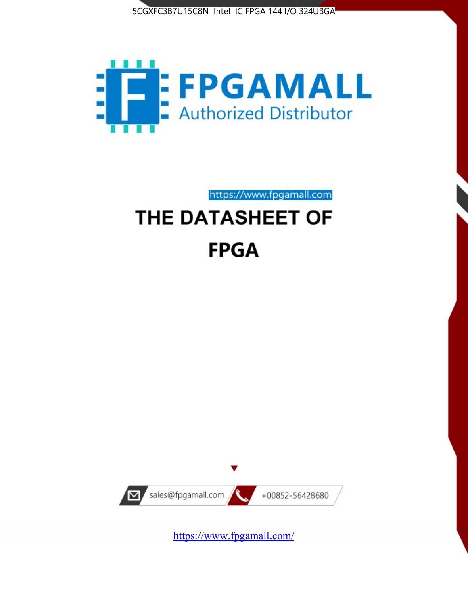



https://www.fpgamall.com

# THE DATASHEET OF **FPGA**



<https://www.fpgamall.com/>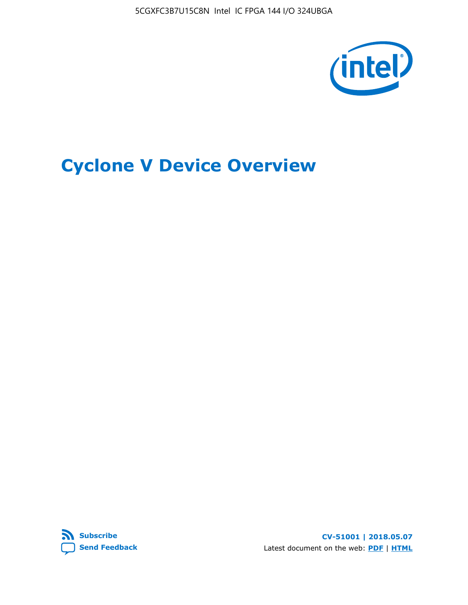5CGXFC3B7U15C8N Intel IC FPGA 144 I/O 324UBGA



# **Cyclone V Device Overview**



**CV-51001 | 2018.05.07** Latest document on the web: **[PDF](https://www.altera.com/en_US/pdfs/literature/hb/cyclone-v/cv_51001.pdf)** | **[HTML](https://www.altera.com/documentation/sam1403480548153.html)**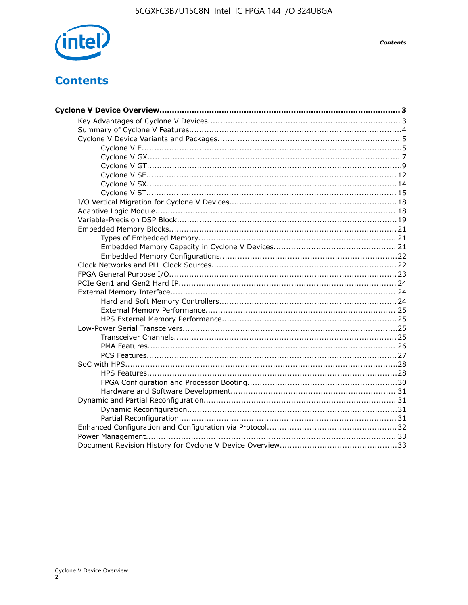

**Contents** 

# **Contents**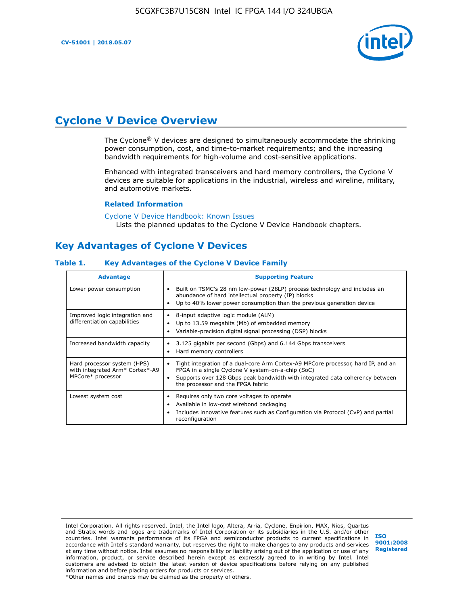

# **Cyclone V Device Overview**

The Cyclone® V devices are designed to simultaneously accommodate the shrinking power consumption, cost, and time-to-market requirements; and the increasing bandwidth requirements for high-volume and cost-sensitive applications.

Enhanced with integrated transceivers and hard memory controllers, the Cyclone V devices are suitable for applications in the industrial, wireless and wireline, military, and automotive markets.

#### **Related Information**

#### [Cyclone V Device Handbook: Known Issues](https://www.altera.com/support/support-resources/knowledge-base/solutions/rd12152011_347.html) Lists the planned updates to the Cyclone V Device Handbook chapters.

### **Key Advantages of Cyclone V Devices**

### **Table 1. Key Advantages of the Cyclone V Device Family**

| <b>Advantage</b>                                                                    | <b>Supporting Feature</b>                                                                                                                                                                                                                                                    |
|-------------------------------------------------------------------------------------|------------------------------------------------------------------------------------------------------------------------------------------------------------------------------------------------------------------------------------------------------------------------------|
| Lower power consumption                                                             | Built on TSMC's 28 nm low-power (28LP) process technology and includes an<br>٠<br>abundance of hard intellectual property (IP) blocks<br>Up to 40% lower power consumption than the previous generation device<br>٠                                                          |
| Improved logic integration and<br>differentiation capabilities                      | 8-input adaptive logic module (ALM)<br>٠<br>Up to 13.59 megabits (Mb) of embedded memory<br>٠<br>Variable-precision digital signal processing (DSP) blocks<br>٠                                                                                                              |
| Increased bandwidth capacity                                                        | 3.125 gigabits per second (Gbps) and 6.144 Gbps transceivers<br>٠<br>Hard memory controllers<br>٠                                                                                                                                                                            |
| Hard processor system (HPS)<br>with integrated Arm* Cortex*-A9<br>MPCore* processor | Tight integration of a dual-core Arm Cortex-A9 MPCore processor, hard IP, and an<br>$\bullet$<br>FPGA in a single Cyclone V system-on-a-chip (SoC)<br>Supports over 128 Gbps peak bandwidth with integrated data coherency between<br>٠<br>the processor and the FPGA fabric |
| Lowest system cost                                                                  | Requires only two core voltages to operate<br>٠<br>Available in low-cost wirebond packaging<br>٠<br>Includes innovative features such as Configuration via Protocol (CvP) and partial<br>٠<br>reconfiguration                                                                |

Intel Corporation. All rights reserved. Intel, the Intel logo, Altera, Arria, Cyclone, Enpirion, MAX, Nios, Quartus and Stratix words and logos are trademarks of Intel Corporation or its subsidiaries in the U.S. and/or other countries. Intel warrants performance of its FPGA and semiconductor products to current specifications in accordance with Intel's standard warranty, but reserves the right to make changes to any products and services at any time without notice. Intel assumes no responsibility or liability arising out of the application or use of any information, product, or service described herein except as expressly agreed to in writing by Intel. Intel customers are advised to obtain the latest version of device specifications before relying on any published information and before placing orders for products or services. \*Other names and brands may be claimed as the property of others.

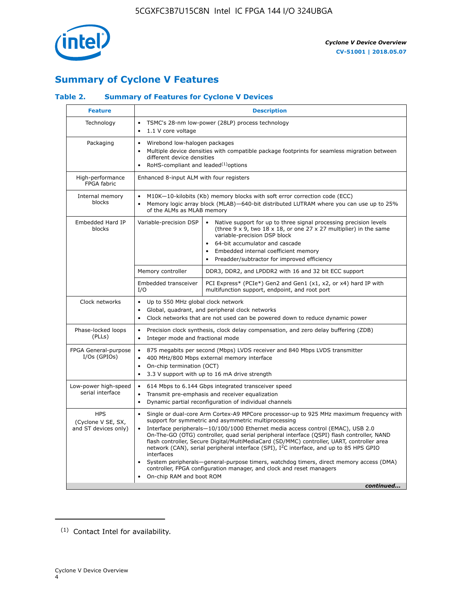

# **Summary of Cyclone V Features**

### **Table 2. Summary of Features for Cyclone V Devices**

| <b>Feature</b>                                           | <b>Description</b>                                                                                                                                                                                                                                                                                                                               |                                                                                                                                                                                                                                                                                                                                                                                                                                                                                                                                                                                                                                                                                                         |  |  |  |  |  |  |
|----------------------------------------------------------|--------------------------------------------------------------------------------------------------------------------------------------------------------------------------------------------------------------------------------------------------------------------------------------------------------------------------------------------------|---------------------------------------------------------------------------------------------------------------------------------------------------------------------------------------------------------------------------------------------------------------------------------------------------------------------------------------------------------------------------------------------------------------------------------------------------------------------------------------------------------------------------------------------------------------------------------------------------------------------------------------------------------------------------------------------------------|--|--|--|--|--|--|
| Technology                                               | TSMC's 28-nm low-power (28LP) process technology<br>$\bullet$<br>1.1 V core voltage                                                                                                                                                                                                                                                              |                                                                                                                                                                                                                                                                                                                                                                                                                                                                                                                                                                                                                                                                                                         |  |  |  |  |  |  |
| Packaging                                                | $\bullet$                                                                                                                                                                                                                                                                                                                                        | Wirebond low-halogen packages<br>Multiple device densities with compatible package footprints for seamless migration between<br>different device densities<br>RoHS-compliant and leaded $(1)$ options                                                                                                                                                                                                                                                                                                                                                                                                                                                                                                   |  |  |  |  |  |  |
| High-performance<br>FPGA fabric                          | Enhanced 8-input ALM with four registers                                                                                                                                                                                                                                                                                                         |                                                                                                                                                                                                                                                                                                                                                                                                                                                                                                                                                                                                                                                                                                         |  |  |  |  |  |  |
| Internal memory<br>blocks                                | of the ALMs as MLAB memory                                                                                                                                                                                                                                                                                                                       | M10K-10-kilobits (Kb) memory blocks with soft error correction code (ECC)<br>Memory logic array block (MLAB)-640-bit distributed LUTRAM where you can use up to 25%                                                                                                                                                                                                                                                                                                                                                                                                                                                                                                                                     |  |  |  |  |  |  |
| Embedded Hard IP<br>blocks                               | Variable-precision DSP<br>Native support for up to three signal processing precision levels<br>(three $9 \times 9$ , two $18 \times 18$ , or one $27 \times 27$ multiplier) in the same<br>variable-precision DSP block<br>64-bit accumulator and cascade<br>Embedded internal coefficient memory<br>Preadder/subtractor for improved efficiency |                                                                                                                                                                                                                                                                                                                                                                                                                                                                                                                                                                                                                                                                                                         |  |  |  |  |  |  |
|                                                          | Memory controller                                                                                                                                                                                                                                                                                                                                | DDR3, DDR2, and LPDDR2 with 16 and 32 bit ECC support                                                                                                                                                                                                                                                                                                                                                                                                                                                                                                                                                                                                                                                   |  |  |  |  |  |  |
|                                                          | Embedded transceiver<br>I/O                                                                                                                                                                                                                                                                                                                      | PCI Express* (PCIe*) Gen2 and Gen1 (x1, x2, or x4) hard IP with<br>multifunction support, endpoint, and root port                                                                                                                                                                                                                                                                                                                                                                                                                                                                                                                                                                                       |  |  |  |  |  |  |
| Clock networks                                           | Up to 550 MHz global clock network<br>$\bullet$<br>$\bullet$<br>$\bullet$                                                                                                                                                                                                                                                                        | Global, quadrant, and peripheral clock networks<br>Clock networks that are not used can be powered down to reduce dynamic power                                                                                                                                                                                                                                                                                                                                                                                                                                                                                                                                                                         |  |  |  |  |  |  |
| Phase-locked loops<br>(PLLs)                             | $\bullet$<br>Integer mode and fractional mode<br>$\bullet$                                                                                                                                                                                                                                                                                       | Precision clock synthesis, clock delay compensation, and zero delay buffering (ZDB)                                                                                                                                                                                                                                                                                                                                                                                                                                                                                                                                                                                                                     |  |  |  |  |  |  |
| FPGA General-purpose<br>$I/Os$ (GPIOs)                   | $\bullet$<br>$\bullet$<br>$\bullet$                                                                                                                                                                                                                                                                                                              | 875 megabits per second (Mbps) LVDS receiver and 840 Mbps LVDS transmitter<br>400 MHz/800 Mbps external memory interface<br>On-chip termination (OCT)<br>3.3 V support with up to 16 mA drive strength                                                                                                                                                                                                                                                                                                                                                                                                                                                                                                  |  |  |  |  |  |  |
| Low-power high-speed<br>serial interface                 | 614 Mbps to 6.144 Gbps integrated transceiver speed<br>$\bullet$<br>Transmit pre-emphasis and receiver equalization<br>$\bullet$<br>Dynamic partial reconfiguration of individual channels<br>$\bullet$                                                                                                                                          |                                                                                                                                                                                                                                                                                                                                                                                                                                                                                                                                                                                                                                                                                                         |  |  |  |  |  |  |
| <b>HPS</b><br>(Cyclone V SE, SX,<br>and ST devices only) | $\bullet$<br>$\bullet$<br>interfaces<br>On-chip RAM and boot ROM                                                                                                                                                                                                                                                                                 | Single or dual-core Arm Cortex-A9 MPCore processor-up to 925 MHz maximum frequency with<br>support for symmetric and asymmetric multiprocessing<br>Interface peripherals-10/100/1000 Ethernet media access control (EMAC), USB 2.0<br>On-The-GO (OTG) controller, quad serial peripheral interface (QSPI) flash controller, NAND<br>flash controller, Secure Digital/MultiMediaCard (SD/MMC) controller, UART, controller area<br>network (CAN), serial peripheral interface (SPI), I <sup>2</sup> C interface, and up to 85 HPS GPIO<br>System peripherals—general-purpose timers, watchdog timers, direct memory access (DMA)<br>controller, FPGA configuration manager, and clock and reset managers |  |  |  |  |  |  |
|                                                          |                                                                                                                                                                                                                                                                                                                                                  | continued                                                                                                                                                                                                                                                                                                                                                                                                                                                                                                                                                                                                                                                                                               |  |  |  |  |  |  |

<sup>(1)</sup> Contact Intel for availability.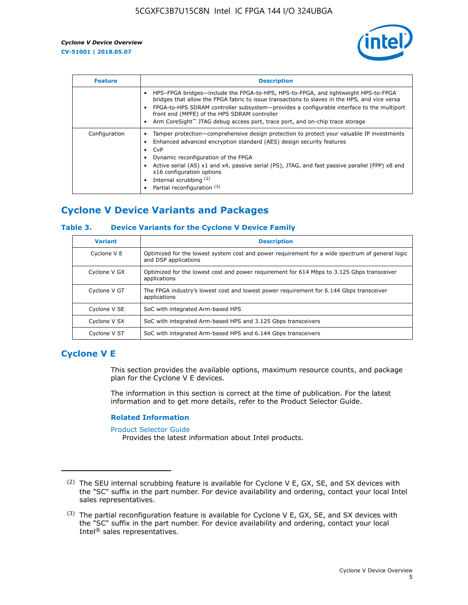

| <b>Feature</b> | <b>Description</b>                                                                                                                                                                                                                                                                                                                                                                                                           |
|----------------|------------------------------------------------------------------------------------------------------------------------------------------------------------------------------------------------------------------------------------------------------------------------------------------------------------------------------------------------------------------------------------------------------------------------------|
|                | HPS-FPGA bridges—include the FPGA-to-HPS, HPS-to-FPGA, and lightweight HPS-to-FPGA<br>bridges that allow the FPGA fabric to issue transactions to slaves in the HPS, and vice versa<br>FPGA-to-HPS SDRAM controller subsystem—provides a configurable interface to the multiport<br>front end (MPFE) of the HPS SDRAM controller<br>Arm CoreSight <sup>™</sup> JTAG debug access port, trace port, and on-chip trace storage |
| Configuration  | Tamper protection—comprehensive design protection to protect your valuable IP investments<br>Enhanced advanced encryption standard (AES) design security features<br>CvP<br>Dynamic reconfiguration of the FPGA<br>Active serial (AS) x1 and x4, passive serial (PS), JTAG, and fast passive parallel (FPP) x8 and<br>x16 configuration options<br>Internal scrubbing (2)<br>Partial reconfiguration (3)                     |

# **Cyclone V Device Variants and Packages**

### **Table 3. Device Variants for the Cyclone V Device Family**

| <b>Variant</b> | <b>Description</b>                                                                                                      |
|----------------|-------------------------------------------------------------------------------------------------------------------------|
| Cyclone V E    | Optimized for the lowest system cost and power requirement for a wide spectrum of general logic<br>and DSP applications |
| Cyclone V GX   | Optimized for the lowest cost and power requirement for 614 Mbps to 3.125 Gbps transceiver<br>applications              |
| Cyclone V GT   | The FPGA industry's lowest cost and lowest power requirement for 6.144 Gbps transceiver<br>applications                 |
| Cyclone V SE   | SoC with integrated Arm-based HPS                                                                                       |
| Cyclone V SX   | SoC with integrated Arm-based HPS and 3.125 Gbps transceivers                                                           |
| Cyclone V ST   | SoC with integrated Arm-based HPS and 6.144 Gbps transceivers                                                           |

### **Cyclone V E**

This section provides the available options, maximum resource counts, and package plan for the Cyclone V E devices.

The information in this section is correct at the time of publication. For the latest information and to get more details, refer to the Product Selector Guide.

#### **Related Information**

[Product Selector Guide](https://www.altera.com/products/product-selector-guide.html)

Provides the latest information about Intel products.

<sup>(2)</sup> The SEU internal scrubbing feature is available for Cyclone V E, GX, SE, and SX devices with the "SC" suffix in the part number. For device availability and ordering, contact your local Intel sales representatives.

 $(3)$  The partial reconfiguration feature is available for Cyclone V E, GX, SE, and SX devices with the "SC" suffix in the part number. For device availability and ordering, contact your local Intel® sales representatives.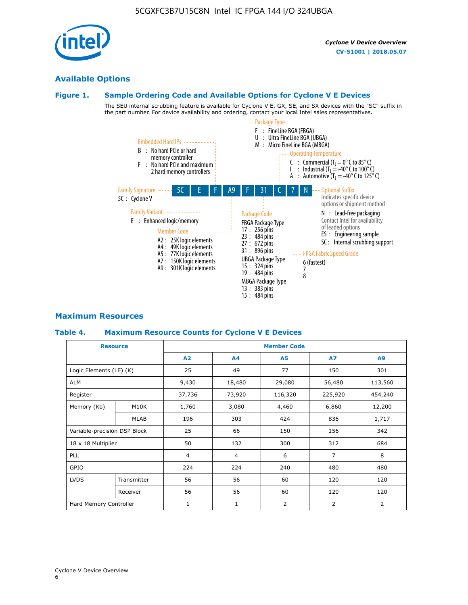## **Available Options**

### **Figure 1. Sample Ordering Code and Available Options for Cyclone V E Devices**

The SEU internal scrubbing feature is available for Cyclone V E, GX, SE, and SX devices with the "SC" suffix in the part number. For device availability and ordering, contact your local Intel sales representatives.



### **Maximum Resources**

### **Table 4. Maximum Resource Counts for Cyclone V E Devices**

|                              | <b>Resource</b>   | <b>Member Code</b> |                |                |                |         |  |
|------------------------------|-------------------|--------------------|----------------|----------------|----------------|---------|--|
|                              |                   | A2                 | A4             | <b>A5</b>      | <b>A7</b>      | A9      |  |
| Logic Elements (LE) (K)      |                   | 25                 | 49             | 77             | 150            | 301     |  |
| <b>ALM</b>                   |                   | 9,430              | 18,480         | 29,080         | 56,480         | 113,560 |  |
| Register                     |                   | 37,736             | 73,920         | 116,320        | 225,920        | 454,240 |  |
| Memory (Kb)                  | M10K              | 1,760              | 3,080          | 4,460          | 6,860          | 12,200  |  |
|                              | <b>MLAB</b>       | 196                | 303            | 424            | 836            | 1,717   |  |
| Variable-precision DSP Block |                   | 25                 | 66             | 150            | 156            | 342     |  |
| 18 x 18 Multiplier           |                   | 50                 | 132            | 300            | 312            | 684     |  |
| <b>PLL</b>                   |                   | $\overline{4}$     | $\overline{4}$ | 6              | $\overline{7}$ | 8       |  |
| GPIO                         | 224<br>224<br>240 |                    | 480            | 480            |                |         |  |
| <b>LVDS</b>                  | Transmitter       | 56                 | 56             | 60             | 120            | 120     |  |
|                              | Receiver          | 56                 | 56             | 60             | 120            | 120     |  |
| Hard Memory Controller       |                   | 1                  | $\mathbf{1}$   | $\overline{2}$ | 2              | 2       |  |

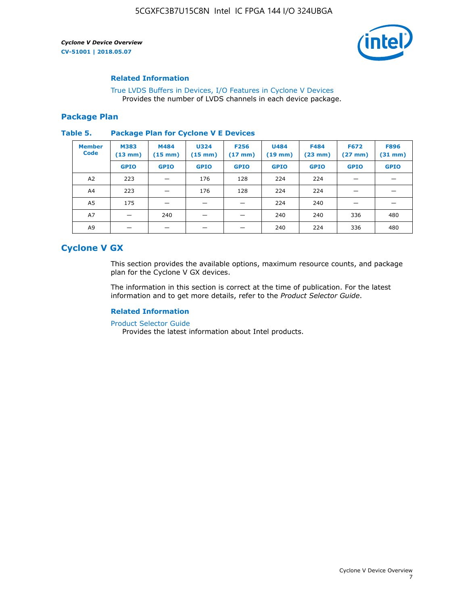

### **Related Information**

[True LVDS Buffers in Devices, I/O Features in Cyclone V Devices](https://www.altera.com/documentation/sam1403481100977.html#sam1403480885395) Provides the number of LVDS channels in each device package.

### **Package Plan**

#### **Table 5. Package Plan for Cyclone V E Devices**

| <b>Member</b><br><b>Code</b> | <b>M383</b><br>$(13 \text{ mm})$ | M484<br>$(15 \text{ mm})$ | <b>U324</b><br>$(15 \text{ mm})$ | <b>F256</b><br>$(17 \text{ mm})$ | <b>U484</b><br>$(19$ mm) | <b>F484</b><br>$(23$ mm $)$ | <b>F672</b><br>$(27 \text{ mm})$ | <b>F896</b><br>$(31 \text{ mm})$ |
|------------------------------|----------------------------------|---------------------------|----------------------------------|----------------------------------|--------------------------|-----------------------------|----------------------------------|----------------------------------|
|                              | <b>GPIO</b>                      | <b>GPIO</b>               | <b>GPIO</b>                      | <b>GPIO</b>                      | <b>GPIO</b>              | <b>GPIO</b>                 | <b>GPIO</b>                      | <b>GPIO</b>                      |
| A <sub>2</sub>               | 223                              |                           | 176                              | 128                              | 224                      | 224                         |                                  |                                  |
| A4                           | 223                              |                           | 176                              | 128                              | 224                      | 224                         | –                                |                                  |
| A <sub>5</sub>               | 175                              |                           |                                  |                                  | 224                      | 240                         |                                  |                                  |
| A7                           |                                  | 240                       |                                  |                                  | 240                      | 240                         | 336                              | 480                              |
| A9                           |                                  |                           |                                  |                                  | 240                      | 224                         | 336                              | 480                              |

### **Cyclone V GX**

This section provides the available options, maximum resource counts, and package plan for the Cyclone V GX devices.

The information in this section is correct at the time of publication. For the latest information and to get more details, refer to the *Product Selector Guide*.

### **Related Information**

[Product Selector Guide](https://www.altera.com/products/product-selector-guide.html)

Provides the latest information about Intel products.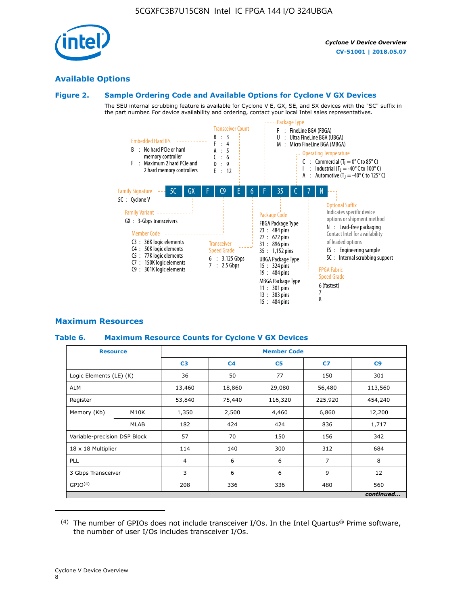

### **Available Options**

### **Figure 2. Sample Ordering Code and Available Options for Cyclone V GX Devices**

The SEU internal scrubbing feature is available for Cyclone V E, GX, SE, and SX devices with the "SC" suffix in the part number. For device availability and ordering, contact your local Intel sales representatives.



### **Maximum Resources**

### **Table 6. Maximum Resource Counts for Cyclone V GX Devices**

|                              | <b>Resource</b> | <b>Member Code</b> |                |                |                |           |  |  |
|------------------------------|-----------------|--------------------|----------------|----------------|----------------|-----------|--|--|
|                              |                 | C <sub>3</sub>     | C <sub>4</sub> | C <sub>5</sub> | C7             | C9        |  |  |
| Logic Elements (LE) (K)      |                 | 36                 | 50             | 77             | 150            | 301       |  |  |
| <b>ALM</b>                   |                 | 13,460             | 18,860         | 29,080         | 56,480         | 113,560   |  |  |
| Register                     |                 |                    | 75,440         | 116,320        | 225,920        | 454,240   |  |  |
| Memory (Kb)                  | M10K            | 1,350              | 2,500          | 4,460          | 6,860          | 12,200    |  |  |
|                              | <b>MLAB</b>     | 182                | 424            | 424            | 836            | 1,717     |  |  |
| Variable-precision DSP Block |                 | 57                 | 70             | 150            | 156            | 342       |  |  |
| 18 x 18 Multiplier           |                 | 114                | 140            | 300            | 312            | 684       |  |  |
| PLL                          |                 | $\overline{4}$     | 6              | 6              | $\overline{7}$ | 8         |  |  |
| 3 Gbps Transceiver           |                 | 3                  | 6              | 6              | 9              | 12        |  |  |
| GPIO <sup>(4)</sup>          |                 | 208                | 336            | 336            | 480            | 560       |  |  |
|                              |                 |                    |                |                |                | continued |  |  |

 $(4)$  The number of GPIOs does not include transceiver I/Os. In the Intel Quartus® Prime software, the number of user I/Os includes transceiver I/Os.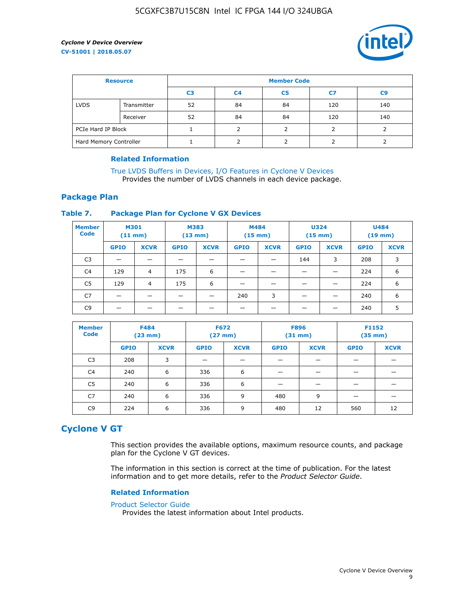

| <b>Resource</b>        |             | <b>Member Code</b> |                |                |     |                |  |  |  |
|------------------------|-------------|--------------------|----------------|----------------|-----|----------------|--|--|--|
|                        |             | C <sub>3</sub>     | C <sub>4</sub> | C <sub>5</sub> | C7  | C <sub>9</sub> |  |  |  |
| <b>LVDS</b>            | Transmitter | 52                 | 84             | 84             | 120 | 140            |  |  |  |
|                        | Receiver    | 52                 | 84             | 84             | 120 | 140            |  |  |  |
| PCIe Hard IP Block     |             |                    |                |                |     |                |  |  |  |
| Hard Memory Controller |             |                    | h              |                |     |                |  |  |  |

### **Related Information**

[True LVDS Buffers in Devices, I/O Features in Cyclone V Devices](https://www.altera.com/documentation/sam1403481100977.html#sam1403480885395) Provides the number of LVDS channels in each device package.

### **Package Plan**

### **Table 7. Package Plan for Cyclone V GX Devices**

| <b>Member</b><br><b>Code</b> | <b>M301</b><br>$(11$ mm) |                | <b>M383</b><br>$(13 \text{ mm})$ |             | M484        | $(15 \text{ mm})$ | <b>U324</b><br>$(15 \text{ mm})$ |             | <b>U484</b><br>$(19$ mm) |             |
|------------------------------|--------------------------|----------------|----------------------------------|-------------|-------------|-------------------|----------------------------------|-------------|--------------------------|-------------|
|                              | <b>GPIO</b>              | <b>XCVR</b>    | <b>GPIO</b>                      | <b>XCVR</b> | <b>GPIO</b> | <b>XCVR</b>       | <b>GPIO</b>                      | <b>XCVR</b> | <b>GPIO</b>              | <b>XCVR</b> |
| C <sub>3</sub>               |                          |                |                                  |             |             |                   | 144                              | 3           | 208                      | 3           |
| C <sub>4</sub>               | 129                      | $\overline{4}$ | 175                              | 6           |             |                   | –                                |             | 224                      | 6           |
| C5                           | 129                      | 4              | 175                              | 6           |             |                   |                                  |             | 224                      | 6           |
| C7                           | _                        |                |                                  |             | 240         | 3                 |                                  |             | 240                      | 6           |
| C <sub>9</sub>               |                          |                |                                  |             |             |                   |                                  |             | 240                      | 5           |

| <b>Member</b><br><b>Code</b> | <b>F484</b> | $(23$ mm)   | <b>F672</b> | $(27$ mm $)$ | <b>F896</b><br>$(31 \text{ mm})$ |             | F1152<br>$(35 \text{ mm})$ |             |
|------------------------------|-------------|-------------|-------------|--------------|----------------------------------|-------------|----------------------------|-------------|
|                              | <b>GPIO</b> | <b>XCVR</b> | <b>GPIO</b> | <b>XCVR</b>  | <b>GPIO</b>                      | <b>XCVR</b> | <b>GPIO</b>                | <b>XCVR</b> |
| C <sub>3</sub>               | 208         | 3           |             |              |                                  |             |                            |             |
| C4                           | 240         | 6           | 336         | 6            |                                  |             |                            |             |
| C5                           | 240         | 6           | 336         | 6            |                                  |             |                            |             |
| C <sub>7</sub>               | 240         | 6           | 336         | 9            | 480                              | 9           |                            |             |
| C <sub>9</sub>               | 224         | 6           | 336         | 9            | 480                              | 12          | 560                        | 12          |

### **Cyclone V GT**

This section provides the available options, maximum resource counts, and package plan for the Cyclone V GT devices.

The information in this section is correct at the time of publication. For the latest information and to get more details, refer to the *Product Selector Guide*.

#### **Related Information**

#### [Product Selector Guide](https://www.altera.com/products/product-selector-guide.html)

Provides the latest information about Intel products.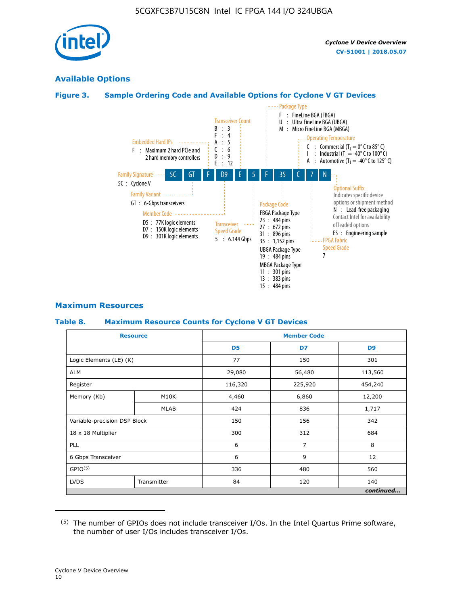

### **Available Options**

### **Figure 3. Sample Ordering Code and Available Options for Cyclone V GT Devices**



### **Maximum Resources**

#### **Table 8. Maximum Resource Counts for Cyclone V GT Devices**

|                              | <b>Resource</b> | <b>Member Code</b> |         |                |  |  |
|------------------------------|-----------------|--------------------|---------|----------------|--|--|
|                              |                 | D <sub>5</sub>     | D7      | D <sub>9</sub> |  |  |
| Logic Elements (LE) (K)      |                 | 77                 | 150     | 301            |  |  |
| <b>ALM</b>                   |                 | 29,080             | 56,480  | 113,560        |  |  |
| Register                     |                 | 116,320            | 225,920 | 454,240        |  |  |
| Memory (Kb)                  | M10K            | 4,460              | 6,860   | 12,200         |  |  |
|                              | <b>MLAB</b>     | 424                | 836     | 1,717          |  |  |
| Variable-precision DSP Block |                 | 150                | 156     | 342            |  |  |
| 18 x 18 Multiplier           |                 | 300                | 312     | 684            |  |  |
| PLL                          |                 | 6                  | 7       | 8              |  |  |
| 6 Gbps Transceiver           |                 | 6                  |         | 12             |  |  |
| GPIO <sup>(5)</sup>          |                 | 336                | 480     | 560            |  |  |
| <b>LVDS</b>                  | Transmitter     | 84                 | 120     | 140            |  |  |
|                              |                 |                    |         | continued      |  |  |

<sup>(5)</sup> The number of GPIOs does not include transceiver I/Os. In the Intel Quartus Prime software, the number of user I/Os includes transceiver I/Os.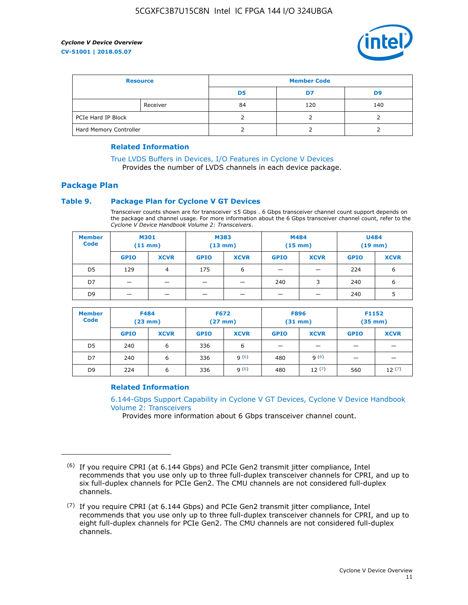

| <b>Resource</b>        |          | <b>Member Code</b> |     |     |  |  |
|------------------------|----------|--------------------|-----|-----|--|--|
|                        |          | D5                 | D7  | D9  |  |  |
|                        | Receiver | 84                 | 120 | 140 |  |  |
| PCIe Hard IP Block     |          |                    |     |     |  |  |
| Hard Memory Controller |          |                    |     |     |  |  |

### **Related Information**

[True LVDS Buffers in Devices, I/O Features in Cyclone V Devices](https://www.altera.com/documentation/sam1403481100977.html#sam1403480885395) Provides the number of LVDS channels in each device package.

### **Package Plan**

### **Table 9. Package Plan for Cyclone V GT Devices**

Transceiver counts shown are for transceiver ≤5 Gbps . 6 Gbps transceiver channel count support depends on the package and channel usage. For more information about the 6 Gbps transceiver channel count, refer to the *Cyclone V Device Handbook Volume 2: Transceivers*.

| <b>Member</b><br><b>Code</b> | <b>M301</b><br>$(11$ mm) |             | M383<br>$(13 \text{ mm})$ |             | M484<br>$(15$ mm $)$     |                          | <b>U484</b><br>$(19$ mm) |             |
|------------------------------|--------------------------|-------------|---------------------------|-------------|--------------------------|--------------------------|--------------------------|-------------|
|                              | <b>GPIO</b>              | <b>XCVR</b> | <b>GPIO</b>               | <b>XCVR</b> | <b>GPIO</b>              | <b>XCVR</b>              | <b>GPIO</b>              | <b>XCVR</b> |
| D <sub>5</sub>               | 129                      | 4           | 175                       | 6           | $\overline{\phantom{0}}$ | $\overline{\phantom{0}}$ | 224                      | 6           |
| D7                           | -                        |             |                           | _           | 240                      | 3                        | 240                      | 6           |
| D <sub>9</sub>               | -                        |             |                           | _           | _                        | –                        | 240                      | 5           |

| <b>Member</b><br><b>Code</b> | <b>F484</b><br>$(23$ mm $)$ |             | <b>F672</b><br>$(27 \text{ mm})$ |             | <b>F896</b><br>$(31$ mm $)$ |             | F1152<br>$(35$ mm $)$ |             |
|------------------------------|-----------------------------|-------------|----------------------------------|-------------|-----------------------------|-------------|-----------------------|-------------|
|                              | <b>GPIO</b>                 | <b>XCVR</b> | <b>GPIO</b>                      | <b>XCVR</b> | <b>GPIO</b>                 | <b>XCVR</b> | <b>GPIO</b>           | <b>XCVR</b> |
| D <sub>5</sub>               | 240                         | 6           | 336                              | 6           | -                           |             |                       |             |
| D7                           | 240                         | 6           | 336                              | q(6)        | 480                         | q(6)        | -                     | _           |
| D <sub>9</sub>               | 224                         | 6           | 336                              | q(6)        | 480                         | 12(7)       | 560                   | 12(7)       |

### **Related Information**

[6.144-Gbps Support Capability in Cyclone V GT Devices, Cyclone V Device Handbook](https://www.altera.com/documentation/nik1409855456781.html#nik1409855410757) [Volume 2: Transceivers](https://www.altera.com/documentation/nik1409855456781.html#nik1409855410757)

Provides more information about 6 Gbps transceiver channel count.

<sup>(6)</sup> If you require CPRI (at 6.144 Gbps) and PCIe Gen2 transmit jitter compliance, Intel recommends that you use only up to three full-duplex transceiver channels for CPRI, and up to six full-duplex channels for PCIe Gen2. The CMU channels are not considered full-duplex channels.

 $(7)$  If you require CPRI (at 6.144 Gbps) and PCIe Gen2 transmit jitter compliance, Intel recommends that you use only up to three full-duplex transceiver channels for CPRI, and up to eight full-duplex channels for PCIe Gen2. The CMU channels are not considered full-duplex channels.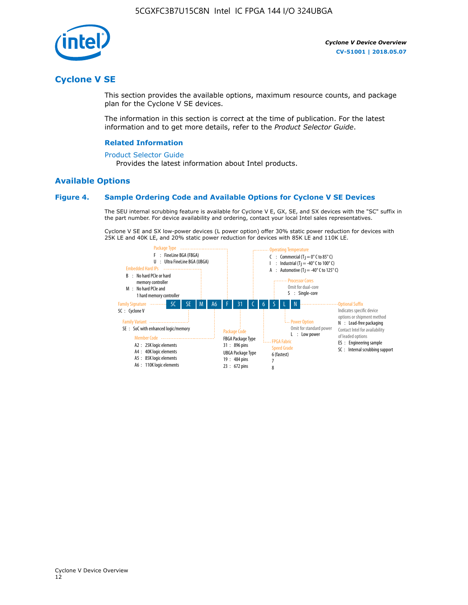

### **Cyclone V SE**

This section provides the available options, maximum resource counts, and package plan for the Cyclone V SE devices.

The information in this section is correct at the time of publication. For the latest information and to get more details, refer to the *Product Selector Guide*.

#### **Related Information**

#### [Product Selector Guide](https://www.altera.com/products/product-selector-guide.html)

Provides the latest information about Intel products.

### **Available Options**

#### **Figure 4. Sample Ordering Code and Available Options for Cyclone V SE Devices**

The SEU internal scrubbing feature is available for Cyclone V E, GX, SE, and SX devices with the "SC" suffix in the part number. For device availability and ordering, contact your local Intel sales representatives.

Cyclone V SE and SX low-power devices (L power option) offer 30% static power reduction for devices with 25K LE and 40K LE, and 20% static power reduction for devices with 85K LE and 110K LE.

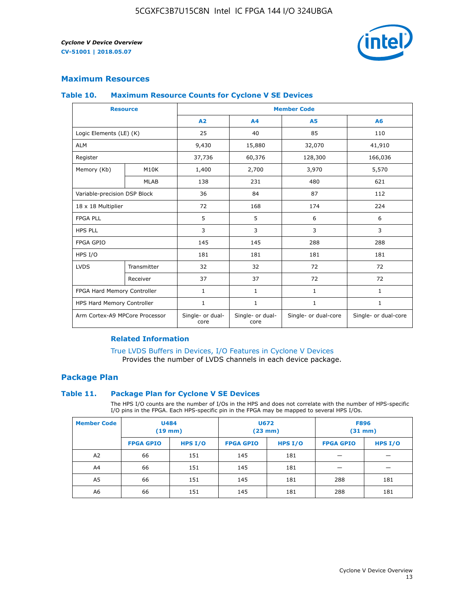

### **Maximum Resources**

#### **Table 10. Maximum Resource Counts for Cyclone V SE Devices**

|                                | <b>Resource</b>   | <b>Member Code</b>       |                          |                      |                      |  |
|--------------------------------|-------------------|--------------------------|--------------------------|----------------------|----------------------|--|
|                                |                   | A <sub>2</sub>           | A4                       | <b>A5</b>            | A6                   |  |
| Logic Elements (LE) (K)        |                   | 25                       | 40                       | 85                   | 110                  |  |
| <b>ALM</b>                     |                   | 9,430                    | 15,880                   | 32,070               | 41,910               |  |
| Register                       |                   | 37,736                   | 60,376                   | 128,300              | 166,036              |  |
| Memory (Kb)                    | M <sub>10</sub> K | 1,400                    | 2,700                    | 3,970                | 5,570                |  |
|                                | <b>MLAB</b>       | 138                      | 231                      | 480                  | 621                  |  |
| Variable-precision DSP Block   |                   | 36                       | 84                       | 87                   | 112                  |  |
| 18 x 18 Multiplier             |                   | 72                       | 168                      | 174                  | 224                  |  |
| <b>FPGA PLL</b>                |                   | 5                        | 5                        | 6                    | 6                    |  |
| <b>HPS PLL</b>                 |                   | 3                        | 3                        | 3                    | 3                    |  |
| <b>FPGA GPIO</b>               |                   | 145                      | 145                      | 288                  | 288                  |  |
| HPS I/O                        |                   | 181                      | 181                      | 181                  | 181                  |  |
| <b>LVDS</b>                    | Transmitter       | 32                       | 32                       | 72                   | 72                   |  |
|                                | Receiver          | 37                       | 37                       | 72                   | 72                   |  |
| FPGA Hard Memory Controller    |                   | 1                        | $\mathbf{1}$             | $\mathbf{1}$         | $\mathbf{1}$         |  |
| HPS Hard Memory Controller     |                   | 1                        | $\mathbf{1}$             | $\mathbf{1}$         | 1                    |  |
| Arm Cortex-A9 MPCore Processor |                   | Single- or dual-<br>core | Single- or dual-<br>core | Single- or dual-core | Single- or dual-core |  |

### **Related Information**

[True LVDS Buffers in Devices, I/O Features in Cyclone V Devices](https://www.altera.com/documentation/sam1403481100977.html#sam1403480885395) Provides the number of LVDS channels in each device package.

### **Package Plan**

### **Table 11. Package Plan for Cyclone V SE Devices**

The HPS I/O counts are the number of I/Os in the HPS and does not correlate with the number of HPS-specific I/O pins in the FPGA. Each HPS-specific pin in the FPGA may be mapped to several HPS I/Os.

| <b>Member Code</b> | <b>U484</b><br>$(19$ mm) |           | <b>U672</b><br>(23 mm) |         | <b>F896</b><br>$(31$ mm $)$ |           |
|--------------------|--------------------------|-----------|------------------------|---------|-----------------------------|-----------|
|                    | <b>FPGA GPIO</b>         | HPS $I/O$ | <b>FPGA GPIO</b>       | HPS I/O | <b>FPGA GPIO</b>            | HPS $I/O$ |
| A <sub>2</sub>     | 66                       | 151       | 145                    | 181     |                             |           |
| A4                 | 66                       | 151       | 145                    | 181     |                             |           |
| A <sub>5</sub>     | 66                       | 151       | 145                    | 181     | 288                         | 181       |
| A6                 | 66                       | 151       | 145                    | 181     | 288                         | 181       |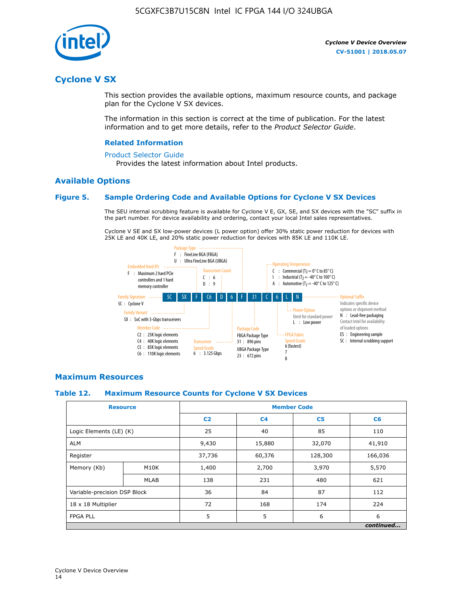

### **Cyclone V SX**

This section provides the available options, maximum resource counts, and package plan for the Cyclone V SX devices.

The information in this section is correct at the time of publication. For the latest information and to get more details, refer to the *Product Selector Guide*.

#### **Related Information**

#### [Product Selector Guide](https://www.altera.com/products/product-selector-guide.html)

Provides the latest information about Intel products.

### **Available Options**

#### **Figure 5. Sample Ordering Code and Available Options for Cyclone V SX Devices**

The SEU internal scrubbing feature is available for Cyclone V E, GX, SE, and SX devices with the "SC" suffix in the part number. For device availability and ordering, contact your local Intel sales representatives.

Cyclone V SE and SX low-power devices (L power option) offer 30% static power reduction for devices with 25K LE and 40K LE, and 20% static power reduction for devices with 85K LE and 110K LE.



### **Maximum Resources**

#### **Table 12. Maximum Resource Counts for Cyclone V SX Devices**

|                              | <b>Resource</b> | <b>Member Code</b> |                |                |           |  |
|------------------------------|-----------------|--------------------|----------------|----------------|-----------|--|
|                              |                 | C <sub>2</sub>     | C <sub>4</sub> | C <sub>5</sub> | C6        |  |
| Logic Elements (LE) (K)      |                 | 25                 | 40             | 85             | 110       |  |
| <b>ALM</b>                   |                 | 9,430              | 15,880         | 32,070         | 41,910    |  |
| Register                     |                 | 37,736             | 60,376         | 128,300        | 166,036   |  |
| Memory (Kb)                  | M10K            | 1,400              | 2,700          | 3,970          | 5,570     |  |
|                              | <b>MLAB</b>     | 138                | 231            | 480            | 621       |  |
| Variable-precision DSP Block |                 | 36                 | 84             | 87             | 112       |  |
| 18 x 18 Multiplier           |                 | 72                 | 168            | 174            | 224       |  |
| <b>FPGA PLL</b>              |                 | 5                  | 5              | 6              | 6         |  |
|                              |                 |                    |                |                | continued |  |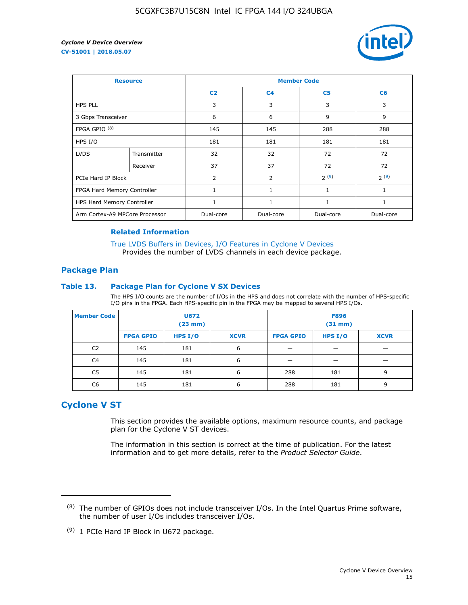

| <b>Resource</b>                |             | <b>Member Code</b> |                |                |                |  |  |
|--------------------------------|-------------|--------------------|----------------|----------------|----------------|--|--|
|                                |             | C <sub>2</sub>     | C <sub>4</sub> | C <sub>5</sub> | C <sub>6</sub> |  |  |
| <b>HPS PLL</b>                 |             | 3                  | 3              | 3              | 3              |  |  |
| 3 Gbps Transceiver             |             | 6                  | 6              | 9              | 9              |  |  |
| FPGA GPIO <sup>(8)</sup>       |             | 145                | 145            | 288            | 288            |  |  |
| HPS I/O                        |             | 181                | 181            | 181            | 181            |  |  |
| <b>LVDS</b>                    | Transmitter | 32                 | 32             | 72             | 72             |  |  |
|                                | Receiver    | 37                 | 37             | 72             | 72             |  |  |
| PCIe Hard IP Block             |             | $\overline{2}$     | $\overline{2}$ | 2(9)           | 2(9)           |  |  |
| FPGA Hard Memory Controller    |             |                    | 1              | 1              | 1              |  |  |
| HPS Hard Memory Controller     |             | 1                  | $\mathbf{1}$   | 1              | 1              |  |  |
| Arm Cortex-A9 MPCore Processor |             | Dual-core          | Dual-core      | Dual-core      | Dual-core      |  |  |

### **Related Information**

[True LVDS Buffers in Devices, I/O Features in Cyclone V Devices](https://www.altera.com/documentation/sam1403481100977.html#sam1403480885395) Provides the number of LVDS channels in each device package.

### **Package Plan**

#### **Table 13. Package Plan for Cyclone V SX Devices**

The HPS I/O counts are the number of I/Os in the HPS and does not correlate with the number of HPS-specific I/O pins in the FPGA. Each HPS-specific pin in the FPGA may be mapped to several HPS I/Os.

| <b>Member Code</b> | U672<br>(23 mm)  |           | <b>F896</b><br>$(31$ mm $)$ |                  |         |             |
|--------------------|------------------|-----------|-----------------------------|------------------|---------|-------------|
|                    | <b>FPGA GPIO</b> | HPS $I/O$ | <b>XCVR</b>                 | <b>FPGA GPIO</b> | HPS I/O | <b>XCVR</b> |
| C <sub>2</sub>     | 145              | 181       | 6                           |                  |         |             |
| C4                 | 145              | 181       | 6                           |                  |         |             |
| C <sub>5</sub>     | 145              | 181       | 6                           | 288              | 181     | 9           |
| C6                 | 145              | 181       | 6                           | 288              | 181     | 9           |

### **Cyclone V ST**

This section provides the available options, maximum resource counts, and package plan for the Cyclone V ST devices.

The information in this section is correct at the time of publication. For the latest information and to get more details, refer to the *Product Selector Guide*.

 $(8)$  The number of GPIOs does not include transceiver I/Os. In the Intel Quartus Prime software, the number of user I/Os includes transceiver I/Os.

<sup>(9)</sup> 1 PCIe Hard IP Block in U672 package.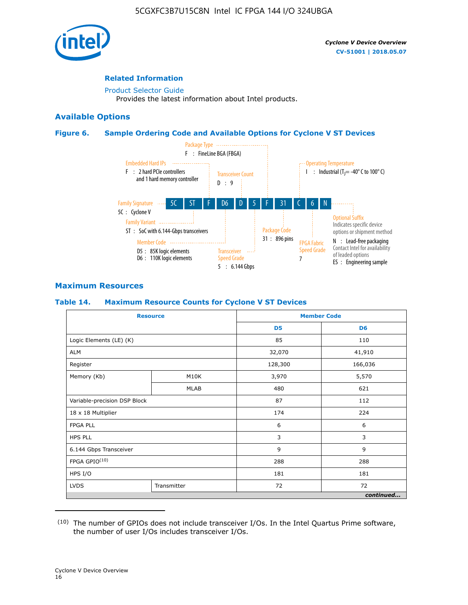

### **Related Information**

[Product Selector Guide](https://www.altera.com/products/product-selector-guide.html) Provides the latest information about Intel products.

### **Available Options**

### **Figure 6. Sample Ordering Code and Available Options for Cyclone V ST Devices**



### **Maximum Resources**

### **Table 14. Maximum Resource Counts for Cyclone V ST Devices**

| <b>Resource</b>              |             |                | <b>Member Code</b> |
|------------------------------|-------------|----------------|--------------------|
|                              |             | D <sub>5</sub> | D <sub>6</sub>     |
| Logic Elements (LE) (K)      |             | 85             | 110                |
| <b>ALM</b>                   |             | 32,070         | 41,910             |
| Register                     |             | 128,300        | 166,036            |
| Memory (Kb)                  | M10K        | 3,970          | 5,570              |
|                              | MLAB        | 480            | 621                |
| Variable-precision DSP Block |             | 87             | 112                |
| 18 x 18 Multiplier           |             | 174            | 224                |
| <b>FPGA PLL</b>              |             | 6              | 6                  |
| <b>HPS PLL</b>               |             | 3              | 3                  |
| 6.144 Gbps Transceiver       |             | 9              | 9                  |
| FPGA GPIO(10)                |             | 288            | 288                |
| HPS I/O                      |             | 181            | 181                |
| <b>LVDS</b>                  | Transmitter | 72             | 72                 |
|                              |             |                | continued          |

<sup>(10)</sup> The number of GPIOs does not include transceiver I/Os. In the Intel Quartus Prime software, the number of user I/Os includes transceiver I/Os.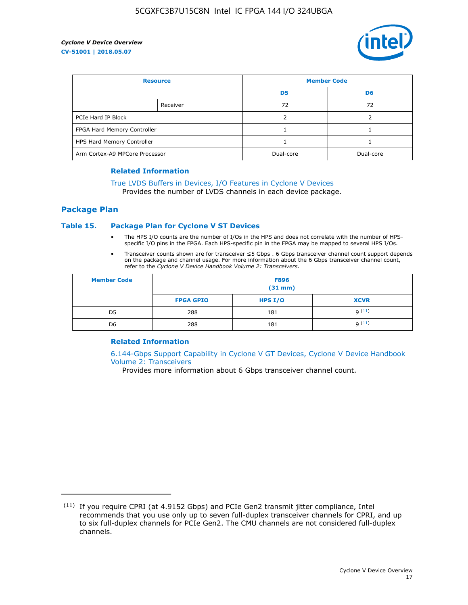

| <b>Resource</b>                |          | <b>Member Code</b> |                |  |
|--------------------------------|----------|--------------------|----------------|--|
|                                |          | D <sub>5</sub>     | D <sub>6</sub> |  |
|                                | Receiver | 72                 | 72             |  |
| PCIe Hard IP Block             |          |                    |                |  |
| FPGA Hard Memory Controller    |          |                    |                |  |
| HPS Hard Memory Controller     |          |                    |                |  |
| Arm Cortex-A9 MPCore Processor |          | Dual-core          | Dual-core      |  |

#### **Related Information**

### [True LVDS Buffers in Devices, I/O Features in Cyclone V Devices](https://www.altera.com/documentation/sam1403481100977.html#sam1403480885395)

Provides the number of LVDS channels in each device package.

### **Package Plan**

### **Table 15. Package Plan for Cyclone V ST Devices**

- The HPS I/O counts are the number of I/Os in the HPS and does not correlate with the number of HPSspecific I/O pins in the FPGA. Each HPS-specific pin in the FPGA may be mapped to several HPS I/Os.
- Transceiver counts shown are for transceiver ≤5 Gbps . 6 Gbps transceiver channel count support depends on the package and channel usage. For more information about the 6 Gbps transceiver channel count, refer to the *Cyclone V Device Handbook Volume 2: Transceivers*.

| <b>Member Code</b> | <b>F896</b><br>$(31$ mm $)$ |           |             |  |  |
|--------------------|-----------------------------|-----------|-------------|--|--|
|                    | <b>FPGA GPIO</b>            | HPS $I/O$ | <b>XCVR</b> |  |  |
| D <sub>5</sub>     | 288                         | 181       | 9(11)       |  |  |
| D <sub>6</sub>     | 288                         | 181       | q(11)       |  |  |

### **Related Information**

[6.144-Gbps Support Capability in Cyclone V GT Devices, Cyclone V Device Handbook](https://www.altera.com/documentation/nik1409855456781.html#nik1409855410757) [Volume 2: Transceivers](https://www.altera.com/documentation/nik1409855456781.html#nik1409855410757)

Provides more information about 6 Gbps transceiver channel count.

<sup>(11)</sup> If you require CPRI (at 4.9152 Gbps) and PCIe Gen2 transmit jitter compliance, Intel recommends that you use only up to seven full-duplex transceiver channels for CPRI, and up to six full-duplex channels for PCIe Gen2. The CMU channels are not considered full-duplex channels.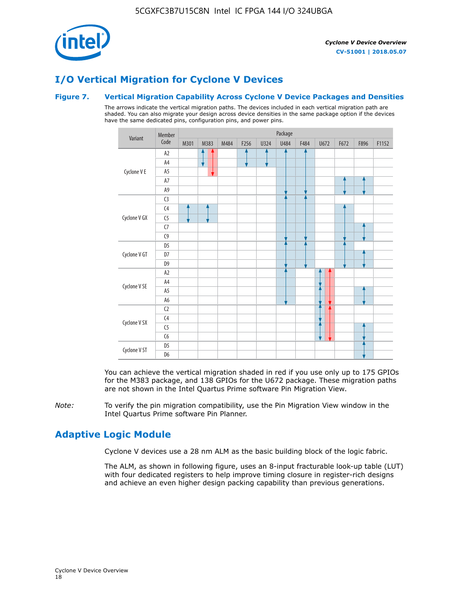

# **I/O Vertical Migration for Cyclone V Devices**

### **Figure 7. Vertical Migration Capability Across Cyclone V Device Packages and Densities**

The arrows indicate the vertical migration paths. The devices included in each vertical migration path are shaded. You can also migrate your design across device densities in the same package option if the devices have the same dedicated pins, configuration pins, and power pins.



You can achieve the vertical migration shaded in red if you use only up to 175 GPIOs for the M383 package, and 138 GPIOs for the U672 package. These migration paths are not shown in the Intel Quartus Prime software Pin Migration View.

*Note:* To verify the pin migration compatibility, use the Pin Migration View window in the Intel Quartus Prime software Pin Planner.

### **Adaptive Logic Module**

Cyclone V devices use a 28 nm ALM as the basic building block of the logic fabric.

The ALM, as shown in following figure, uses an 8-input fracturable look-up table (LUT) with four dedicated registers to help improve timing closure in register-rich designs and achieve an even higher design packing capability than previous generations.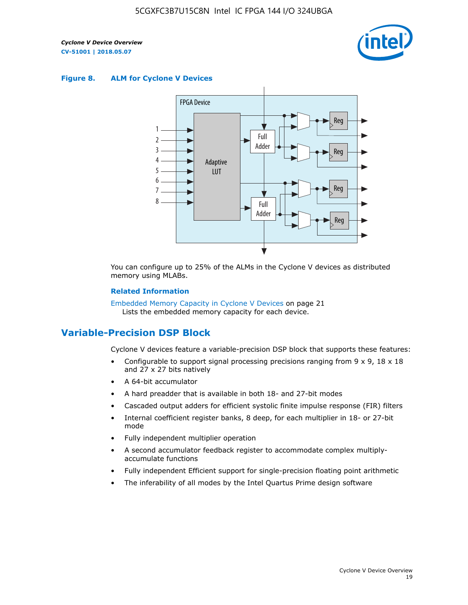

### **Figure 8. ALM for Cyclone V Devices**



You can configure up to 25% of the ALMs in the Cyclone V devices as distributed memory using MLABs.

#### **Related Information**

Embedded Memory Capacity in Cyclone V Devices on page 21 Lists the embedded memory capacity for each device.

### **Variable-Precision DSP Block**

Cyclone V devices feature a variable-precision DSP block that supports these features:

- Configurable to support signal processing precisions ranging from  $9 \times 9$ ,  $18 \times 18$ and 27 x 27 bits natively
- A 64-bit accumulator
- A hard preadder that is available in both 18- and 27-bit modes
- Cascaded output adders for efficient systolic finite impulse response (FIR) filters
- Internal coefficient register banks, 8 deep, for each multiplier in 18- or 27-bit mode
- Fully independent multiplier operation
- A second accumulator feedback register to accommodate complex multiplyaccumulate functions
- Fully independent Efficient support for single-precision floating point arithmetic
- The inferability of all modes by the Intel Quartus Prime design software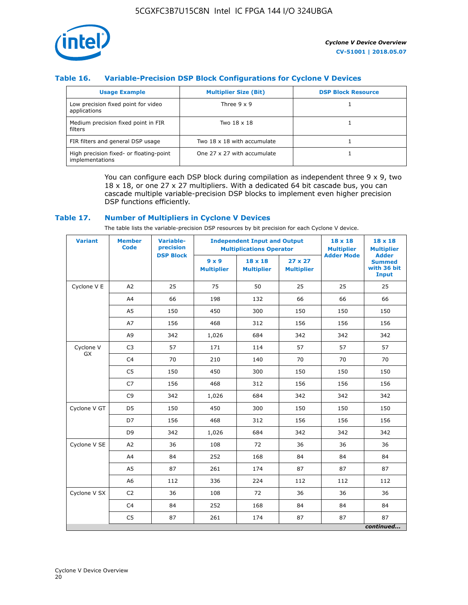

### **Table 16. Variable-Precision DSP Block Configurations for Cyclone V Devices**

| <b>Usage Example</b>                                       | <b>Multiplier Size (Bit)</b> | <b>DSP Block Resource</b> |
|------------------------------------------------------------|------------------------------|---------------------------|
| Low precision fixed point for video<br>applications        | Three $9 \times 9$           |                           |
| Medium precision fixed point in FIR<br>filters             | Two 18 x 18                  |                           |
| FIR filters and general DSP usage                          | Two 18 x 18 with accumulate  |                           |
| High precision fixed- or floating-point<br>implementations | One 27 x 27 with accumulate  |                           |

You can configure each DSP block during compilation as independent three  $9 \times 9$ , two 18 x 18, or one 27 x 27 multipliers. With a dedicated 64 bit cascade bus, you can cascade multiple variable-precision DSP blocks to implement even higher precision DSP functions efficiently.

### **Table 17. Number of Multipliers in Cyclone V Devices**

The table lists the variable-precision DSP resources by bit precision for each Cyclone V device.

| <b>Variant</b>  | <b>Member</b><br><b>Code</b> | <b>Variable-</b><br>precision |                                   | <b>Independent Input and Output</b><br><b>Multiplications Operator</b> | $18 \times 18$<br><b>Multiplier</b> | $18 \times 18$<br><b>Multiplier</b> |                                                              |
|-----------------|------------------------------|-------------------------------|-----------------------------------|------------------------------------------------------------------------|-------------------------------------|-------------------------------------|--------------------------------------------------------------|
|                 |                              | <b>DSP Block</b>              | $9 \times 9$<br><b>Multiplier</b> | $18 \times 18$<br><b>Multiplier</b>                                    | $27 \times 27$<br><b>Multiplier</b> | <b>Adder Mode</b>                   | <b>Adder</b><br><b>Summed</b><br>with 36 bit<br><b>Input</b> |
| Cyclone V E     | A <sub>2</sub>               | 25                            | 75                                | 50                                                                     | 25                                  | 25                                  | 25                                                           |
|                 | A4                           | 66                            | 198                               | 132                                                                    | 66                                  | 66                                  | 66                                                           |
|                 | A5                           | 150                           | 450                               | 300                                                                    | 150                                 | 150                                 | 150                                                          |
|                 | A7                           | 156                           | 468                               | 312                                                                    | 156                                 | 156                                 | 156                                                          |
|                 | A9                           | 342                           | 1,026                             | 684                                                                    | 342                                 | 342                                 | 342                                                          |
| Cyclone V<br>GX | C <sub>3</sub>               | 57                            | 171                               | 114                                                                    | 57                                  | 57                                  | 57                                                           |
|                 | C <sub>4</sub>               | 70                            | 210                               | 140                                                                    | 70                                  | 70                                  | 70                                                           |
|                 | C <sub>5</sub>               | 150                           | 450                               | 300                                                                    | 150                                 | 150                                 | 150                                                          |
|                 | C7                           | 156                           | 468                               | 312                                                                    | 156                                 | 156                                 | 156                                                          |
|                 | C <sub>9</sub>               | 342                           | 1,026                             | 684                                                                    | 342                                 | 342                                 | 342                                                          |
| Cyclone V GT    | D <sub>5</sub>               | 150                           | 450                               | 300                                                                    | 150                                 | 150                                 | 150                                                          |
|                 | D7                           | 156                           | 468                               | 312                                                                    | 156                                 | 156                                 | 156                                                          |
|                 | D <sub>9</sub>               | 342                           | 1,026                             | 684                                                                    | 342                                 | 342                                 | 342                                                          |
| Cyclone V SE    | A <sub>2</sub>               | 36                            | 108                               | 72                                                                     | 36                                  | 36                                  | 36                                                           |
|                 | A4                           | 84                            | 252                               | 168                                                                    | 84                                  | 84                                  | 84                                                           |
|                 | A5                           | 87                            | 261                               | 174                                                                    | 87                                  | 87                                  | 87                                                           |
|                 | A <sub>6</sub>               | 112                           | 336                               | 224                                                                    | 112                                 | 112                                 | 112                                                          |
| Cyclone V SX    | C <sub>2</sub>               | 36                            | 108                               | 72                                                                     | 36                                  | 36                                  | 36                                                           |
|                 | C <sub>4</sub>               | 84                            | 252                               | 168                                                                    | 84                                  | 84                                  | 84                                                           |
|                 | C <sub>5</sub>               | 87                            | 261                               | 174                                                                    | 87                                  | 87                                  | 87                                                           |
|                 |                              |                               |                                   |                                                                        |                                     |                                     | continued                                                    |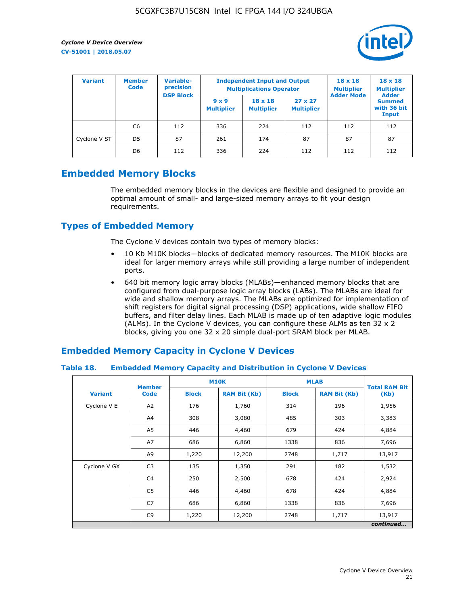

| <b>Variant</b> | <b>Variable-</b><br><b>Member</b><br>precision<br><b>Code</b> |                  |                                   | <b>Independent Input and Output</b><br><b>Multiplications Operator</b> | $18 \times 18$<br><b>Multiplier</b> | $18 \times 18$<br><b>Multiplier</b><br><b>Adder</b> |                                       |
|----------------|---------------------------------------------------------------|------------------|-----------------------------------|------------------------------------------------------------------------|-------------------------------------|-----------------------------------------------------|---------------------------------------|
|                |                                                               | <b>DSP Block</b> | $9 \times 9$<br><b>Multiplier</b> | $18 \times 18$<br><b>Multiplier</b>                                    | $27 \times 27$<br><b>Multiplier</b> | <b>Adder Mode</b>                                   | <b>Summed</b><br>with 36 bit<br>Input |
|                | C6                                                            | 112              | 336                               | 224                                                                    | 112                                 | 112                                                 | 112                                   |
| Cyclone V ST   | D <sub>5</sub>                                                | 87               | 261                               | 174                                                                    | 87                                  | 87                                                  | 87                                    |
|                | D <sub>6</sub>                                                | 112              | 336                               | 224                                                                    | 112                                 | 112                                                 | 112                                   |

### **Embedded Memory Blocks**

The embedded memory blocks in the devices are flexible and designed to provide an optimal amount of small- and large-sized memory arrays to fit your design requirements.

### **Types of Embedded Memory**

The Cyclone V devices contain two types of memory blocks:

- 10 Kb M10K blocks—blocks of dedicated memory resources. The M10K blocks are ideal for larger memory arrays while still providing a large number of independent ports.
- 640 bit memory logic array blocks (MLABs)—enhanced memory blocks that are configured from dual-purpose logic array blocks (LABs). The MLABs are ideal for wide and shallow memory arrays. The MLABs are optimized for implementation of shift registers for digital signal processing (DSP) applications, wide shallow FIFO buffers, and filter delay lines. Each MLAB is made up of ten adaptive logic modules (ALMs). In the Cyclone V devices, you can configure these ALMs as ten 32 x 2 blocks, giving you one 32 x 20 simple dual-port SRAM block per MLAB.

### **Embedded Memory Capacity in Cyclone V Devices**

### **Table 18. Embedded Memory Capacity and Distribution in Cyclone V Devices**

|                | <b>Member</b>  | <b>M10K</b>  |                     | <b>MLAB</b>  | <b>Total RAM Bit</b> |        |  |  |  |
|----------------|----------------|--------------|---------------------|--------------|----------------------|--------|--|--|--|
| <b>Variant</b> | <b>Code</b>    | <b>Block</b> | <b>RAM Bit (Kb)</b> | <b>Block</b> | <b>RAM Bit (Kb)</b>  | (Kb)   |  |  |  |
| Cyclone V E    | A2             | 176          | 1,760               | 314          | 196                  | 1,956  |  |  |  |
|                | A4             | 308          | 3,080               | 485          | 303                  | 3,383  |  |  |  |
|                | A5             | 446          | 4,460               | 679          | 424                  | 4,884  |  |  |  |
|                | A7             | 686          | 6,860               | 1338         | 836                  | 7,696  |  |  |  |
|                | A9             | 1,220        | 12,200              | 2748         | 1,717                | 13,917 |  |  |  |
| Cyclone V GX   | C <sub>3</sub> | 135          | 1,350               | 291          | 182                  | 1,532  |  |  |  |
|                | C4             | 250          | 2,500               | 678          | 424                  | 2,924  |  |  |  |
|                | C5             | 446          | 4,460               | 678          | 424                  | 4,884  |  |  |  |
|                | C7             | 686          | 6,860               | 1338         | 836                  | 7,696  |  |  |  |
|                | C <sub>9</sub> | 1,220        | 12,200              | 2748         | 1,717                | 13,917 |  |  |  |
|                | continued      |              |                     |              |                      |        |  |  |  |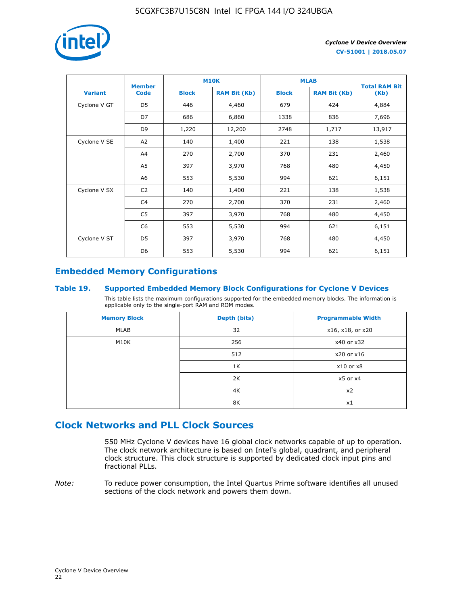

|                | <b>Member</b>  | <b>M10K</b>  |                     | <b>MLAB</b>  | <b>Total RAM Bit</b> |        |
|----------------|----------------|--------------|---------------------|--------------|----------------------|--------|
| <b>Variant</b> | <b>Code</b>    | <b>Block</b> | <b>RAM Bit (Kb)</b> | <b>Block</b> | <b>RAM Bit (Kb)</b>  | (Kb)   |
| Cyclone V GT   | D <sub>5</sub> | 446          | 4,460               | 679          | 424                  | 4,884  |
|                | D7             | 686          | 6,860               | 1338         | 836                  | 7,696  |
|                | D <sub>9</sub> | 1,220        | 12,200              | 2748         | 1,717                | 13,917 |
| Cyclone V SE   | A <sub>2</sub> | 140          | 1,400               | 221          | 138                  | 1,538  |
|                | A4             | 270          | 2,700               | 370          | 231                  | 2,460  |
|                | A5             | 397          | 3,970               | 768          | 480                  | 4,450  |
|                | A <sub>6</sub> | 553          | 5,530               | 994          | 621                  | 6,151  |
| Cyclone V SX   | C <sub>2</sub> | 140          | 1,400               | 221          | 138                  | 1,538  |
|                | C <sub>4</sub> | 270          | 2,700               | 370          | 231                  | 2,460  |
|                | C <sub>5</sub> | 397          | 3,970               | 768          | 480                  | 4,450  |
|                | C <sub>6</sub> | 553          | 5,530               | 994          | 621                  | 6,151  |
| Cyclone V ST   | D <sub>5</sub> | 397          | 3,970               | 768          | 480                  | 4,450  |
|                | D <sub>6</sub> | 553          | 5,530               | 994          | 621                  | 6,151  |

### **Embedded Memory Configurations**

### **Table 19. Supported Embedded Memory Block Configurations for Cyclone V Devices**

This table lists the maximum configurations supported for the embedded memory blocks. The information is applicable only to the single-port RAM and ROM modes.

| <b>Memory Block</b> | Depth (bits) | <b>Programmable Width</b> |
|---------------------|--------------|---------------------------|
| MLAB                | 32           | x16, x18, or x20          |
| M10K                | 256          | x40 or x32                |
|                     | 512          | x20 or x16                |
|                     | 1K           | $x10$ or $x8$             |
|                     | 2K           | $x5$ or $x4$              |
|                     | 4K           | x2                        |
|                     | 8K           | x1                        |

### **Clock Networks and PLL Clock Sources**

550 MHz Cyclone V devices have 16 global clock networks capable of up to operation. The clock network architecture is based on Intel's global, quadrant, and peripheral clock structure. This clock structure is supported by dedicated clock input pins and fractional PLLs.

*Note:* To reduce power consumption, the Intel Quartus Prime software identifies all unused sections of the clock network and powers them down.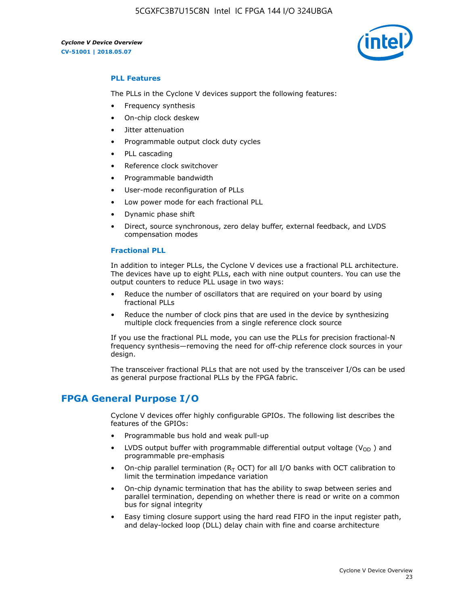

### **PLL Features**

The PLLs in the Cyclone V devices support the following features:

- Frequency synthesis
- On-chip clock deskew
- Jitter attenuation
- Programmable output clock duty cycles
- PLL cascading
- Reference clock switchover
- Programmable bandwidth
- User-mode reconfiguration of PLLs
- Low power mode for each fractional PLL
- Dynamic phase shift
- Direct, source synchronous, zero delay buffer, external feedback, and LVDS compensation modes

#### **Fractional PLL**

In addition to integer PLLs, the Cyclone V devices use a fractional PLL architecture. The devices have up to eight PLLs, each with nine output counters. You can use the output counters to reduce PLL usage in two ways:

- Reduce the number of oscillators that are required on your board by using fractional PLLs
- Reduce the number of clock pins that are used in the device by synthesizing multiple clock frequencies from a single reference clock source

If you use the fractional PLL mode, you can use the PLLs for precision fractional-N frequency synthesis—removing the need for off-chip reference clock sources in your design.

The transceiver fractional PLLs that are not used by the transceiver I/Os can be used as general purpose fractional PLLs by the FPGA fabric.

### **FPGA General Purpose I/O**

Cyclone V devices offer highly configurable GPIOs. The following list describes the features of the GPIOs:

- Programmable bus hold and weak pull-up
- LVDS output buffer with programmable differential output voltage ( $V_{OD}$ ) and programmable pre-emphasis
- On-chip parallel termination ( $R<sub>T</sub>$  OCT) for all I/O banks with OCT calibration to limit the termination impedance variation
- On-chip dynamic termination that has the ability to swap between series and parallel termination, depending on whether there is read or write on a common bus for signal integrity
- Easy timing closure support using the hard read FIFO in the input register path, and delay-locked loop (DLL) delay chain with fine and coarse architecture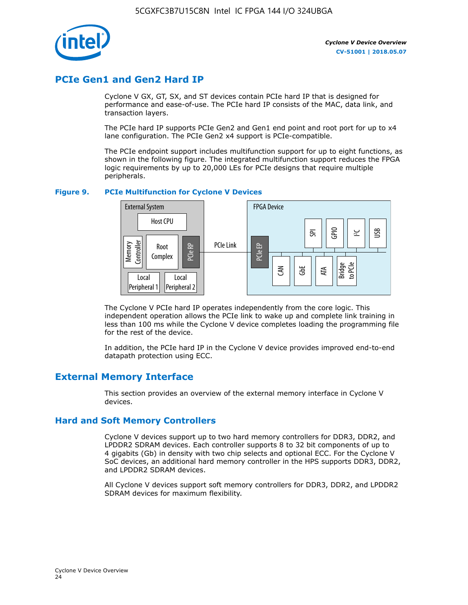

### **PCIe Gen1 and Gen2 Hard IP**

Cyclone V GX, GT, SX, and ST devices contain PCIe hard IP that is designed for performance and ease-of-use. The PCIe hard IP consists of the MAC, data link, and transaction layers.

The PCIe hard IP supports PCIe Gen2 and Gen1 end point and root port for up to x4 lane configuration. The PCIe Gen2 x4 support is PCIe-compatible.

The PCIe endpoint support includes multifunction support for up to eight functions, as shown in the following figure. The integrated multifunction support reduces the FPGA logic requirements by up to 20,000 LEs for PCIe designs that require multiple peripherals.

### **Figure 9. PCIe Multifunction for Cyclone V Devices**



The Cyclone V PCIe hard IP operates independently from the core logic. This independent operation allows the PCIe link to wake up and complete link training in less than 100 ms while the Cyclone V device completes loading the programming file for the rest of the device.

In addition, the PCIe hard IP in the Cyclone V device provides improved end-to-end datapath protection using ECC.

### **External Memory Interface**

This section provides an overview of the external memory interface in Cyclone V devices.

### **Hard and Soft Memory Controllers**

Cyclone V devices support up to two hard memory controllers for DDR3, DDR2, and LPDDR2 SDRAM devices. Each controller supports 8 to 32 bit components of up to 4 gigabits (Gb) in density with two chip selects and optional ECC. For the Cyclone V SoC devices, an additional hard memory controller in the HPS supports DDR3, DDR2, and LPDDR2 SDRAM devices.

All Cyclone V devices support soft memory controllers for DDR3, DDR2, and LPDDR2 SDRAM devices for maximum flexibility.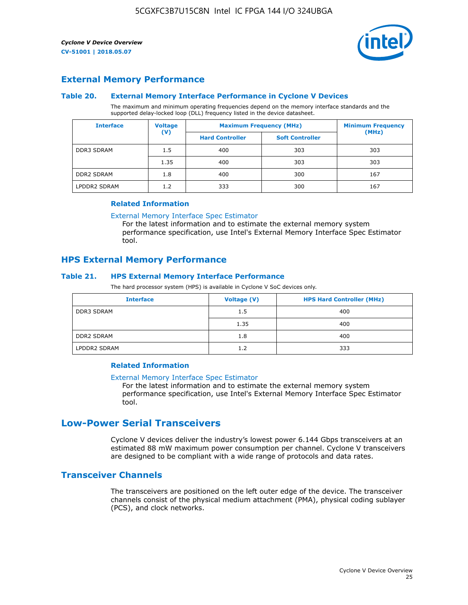

### **External Memory Performance**

### **Table 20. External Memory Interface Performance in Cyclone V Devices**

The maximum and minimum operating frequencies depend on the memory interface standards and the supported delay-locked loop (DLL) frequency listed in the device datasheet.

| <b>Voltage</b><br><b>Interface</b> |                | <b>Maximum Frequency (MHz)</b> | <b>Minimum Frequency</b> |       |
|------------------------------------|----------------|--------------------------------|--------------------------|-------|
|                                    | $(\mathsf{V})$ | <b>Hard Controller</b>         | <b>Soft Controller</b>   | (MHz) |
| <b>DDR3 SDRAM</b>                  | 1.5            | 400                            | 303                      | 303   |
|                                    | 1.35           | 400                            | 303                      | 303   |
| <b>DDR2 SDRAM</b>                  | 1.8            | 400                            | 300                      | 167   |
| LPDDR2 SDRAM                       | 1.2            | 333                            | 300                      | 167   |

#### **Related Information**

[External Memory Interface Spec Estimator](https://www.altera.com/solutions/technology/external-memory/spec-estimator.html)

For the latest information and to estimate the external memory system performance specification, use Intel's External Memory Interface Spec Estimator tool.

### **HPS External Memory Performance**

### **Table 21. HPS External Memory Interface Performance**

The hard processor system (HPS) is available in Cyclone V SoC devices only.

| <b>Interface</b>  | <b>Voltage (V)</b> | <b>HPS Hard Controller (MHz)</b> |
|-------------------|--------------------|----------------------------------|
| DDR3 SDRAM        | 1.5                | 400                              |
|                   | 1.35               | 400                              |
| <b>DDR2 SDRAM</b> | 1.8                | 400                              |
| LPDDR2 SDRAM      | 1.2                | 333                              |

### **Related Information**

#### [External Memory Interface Spec Estimator](https://www.altera.com/solutions/technology/external-memory/spec-estimator.html)

For the latest information and to estimate the external memory system performance specification, use Intel's External Memory Interface Spec Estimator tool.

### **Low-Power Serial Transceivers**

Cyclone V devices deliver the industry's lowest power 6.144 Gbps transceivers at an estimated 88 mW maximum power consumption per channel. Cyclone V transceivers are designed to be compliant with a wide range of protocols and data rates.

### **Transceiver Channels**

The transceivers are positioned on the left outer edge of the device. The transceiver channels consist of the physical medium attachment (PMA), physical coding sublayer (PCS), and clock networks.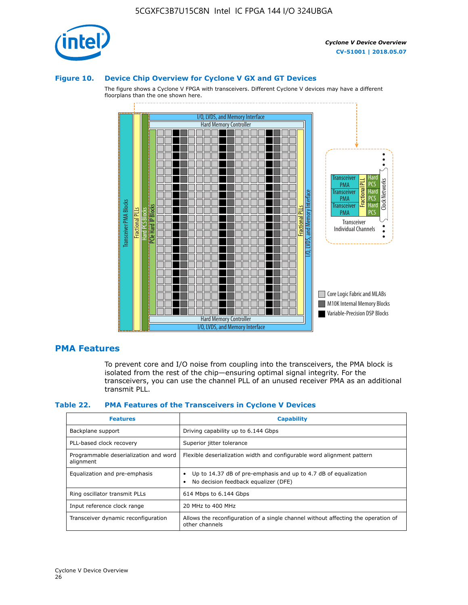

### **Figure 10. Device Chip Overview for Cyclone V GX and GT Devices**

The figure shows a Cyclone V FPGA with transceivers. Different Cyclone V devices may have a different floorplans than the one shown here.



### **PMA Features**

To prevent core and I/O noise from coupling into the transceivers, the PMA block is isolated from the rest of the chip—ensuring optimal signal integrity. For the transceivers, you can use the channel PLL of an unused receiver PMA as an additional transmit PLL.

#### **Table 22. PMA Features of the Transceivers in Cyclone V Devices**

| <b>Features</b>                                    | <b>Capability</b>                                                                                       |
|----------------------------------------------------|---------------------------------------------------------------------------------------------------------|
| Backplane support                                  | Driving capability up to 6.144 Gbps                                                                     |
| PLL-based clock recovery                           | Superior jitter tolerance                                                                               |
| Programmable deserialization and word<br>alignment | Flexible deserialization width and configurable word alignment pattern                                  |
| Equalization and pre-emphasis                      | Up to 14.37 dB of pre-emphasis and up to 4.7 dB of equalization<br>No decision feedback equalizer (DFE) |
| Ring oscillator transmit PLLs                      | 614 Mbps to 6.144 Gbps                                                                                  |
| Input reference clock range                        | 20 MHz to 400 MHz                                                                                       |
| Transceiver dynamic reconfiguration                | Allows the reconfiguration of a single channel without affecting the operation of<br>other channels     |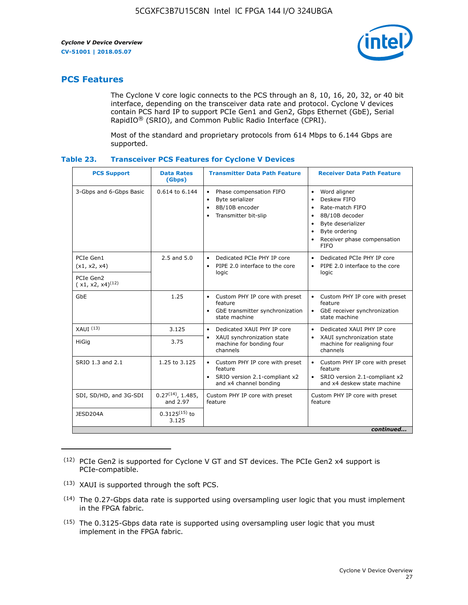

### **PCS Features**

The Cyclone V core logic connects to the PCS through an 8, 10, 16, 20, 32, or 40 bit interface, depending on the transceiver data rate and protocol. Cyclone V devices contain PCS hard IP to support PCIe Gen1 and Gen2, Gbps Ethernet (GbE), Serial RapidIO® (SRIO), and Common Public Radio Interface (CPRI).

Most of the standard and proprietary protocols from 614 Mbps to 6.144 Gbps are supported.

| Table 23. |  | <b>Transceiver PCS Features for Cyclone V Devices</b> |
|-----------|--|-------------------------------------------------------|
|           |  |                                                       |

| <b>PCS Support</b>                 | <b>Data Rates</b><br>(Gbps)        | <b>Transmitter Data Path Feature</b>                                                                         | <b>Receiver Data Path Feature</b>                                                                                                                                                                                                  |  |  |
|------------------------------------|------------------------------------|--------------------------------------------------------------------------------------------------------------|------------------------------------------------------------------------------------------------------------------------------------------------------------------------------------------------------------------------------------|--|--|
| 3-Gbps and 6-Gbps Basic            | 0.614 to 6.144                     | • Phase compensation FIFO<br>Byte serializer<br>8B/10B encoder<br>Transmitter bit-slip                       | Word aligner<br>$\bullet$<br>Deskew FIFO<br>$\bullet$<br>Rate-match FIFO<br>$\bullet$<br>8B/10B decoder<br>$\bullet$<br>Byte deserializer<br>$\bullet$<br>Byte ordering<br>$\bullet$<br>Receiver phase compensation<br><b>FIFO</b> |  |  |
| PCIe Gen1<br>(x1, x2, x4)          | $2.5$ and $5.0$                    | Dedicated PCIe PHY IP core<br>PIPE 2.0 interface to the core<br>$\bullet$<br>logic                           | Dedicated PCIe PHY IP core<br>$\bullet$<br>PIPE 2.0 interface to the core<br>$\bullet$<br>logic                                                                                                                                    |  |  |
| PCIe Gen2<br>$(x1, x2, x4)^{(12)}$ |                                    |                                                                                                              |                                                                                                                                                                                                                                    |  |  |
| GbE                                | 1.25                               | • Custom PHY IP core with preset<br>feature<br>GbE transmitter synchronization<br>$\bullet$<br>state machine | • Custom PHY IP core with preset<br>feature<br>GbE receiver synchronization<br>state machine                                                                                                                                       |  |  |
| $XAUI$ $(13)$                      | 3.125                              | Dedicated XAUI PHY IP core<br>$\bullet$                                                                      | Dedicated XAUI PHY IP core<br>$\bullet$                                                                                                                                                                                            |  |  |
| <b>HiGig</b>                       | 3.75                               | XAUI synchronization state<br>$\bullet$<br>machine for bonding four<br>channels                              | XAUI synchronization state<br>$\bullet$<br>machine for realigning four<br>channels                                                                                                                                                 |  |  |
| SRIO 1.3 and 2.1                   | 1.25 to 3.125                      | • Custom PHY IP core with preset<br>feature<br>• SRIO version 2.1-compliant x2<br>and x4 channel bonding     | • Custom PHY IP core with preset<br>feature<br>• SRIO version 2.1-compliant x2<br>and x4 deskew state machine                                                                                                                      |  |  |
| SDI, SD/HD, and 3G-SDI             | $0.27^{(14)}$ , 1.485,<br>and 2.97 | Custom PHY IP core with preset<br>feature                                                                    | Custom PHY IP core with preset<br>feature                                                                                                                                                                                          |  |  |
| JESD204A                           | $0.3125^{(15)}$ to<br>3.125        |                                                                                                              |                                                                                                                                                                                                                                    |  |  |
| continued                          |                                    |                                                                                                              |                                                                                                                                                                                                                                    |  |  |

<sup>(12)</sup> PCIe Gen2 is supported for Cyclone V GT and ST devices. The PCIe Gen2 x4 support is PCIe-compatible.

<sup>(13)</sup> XAUI is supported through the soft PCS.

<sup>(14)</sup> The 0.27-Gbps data rate is supported using oversampling user logic that you must implement in the FPGA fabric.

<sup>(15)</sup> The 0.3125-Gbps data rate is supported using oversampling user logic that you must implement in the FPGA fabric.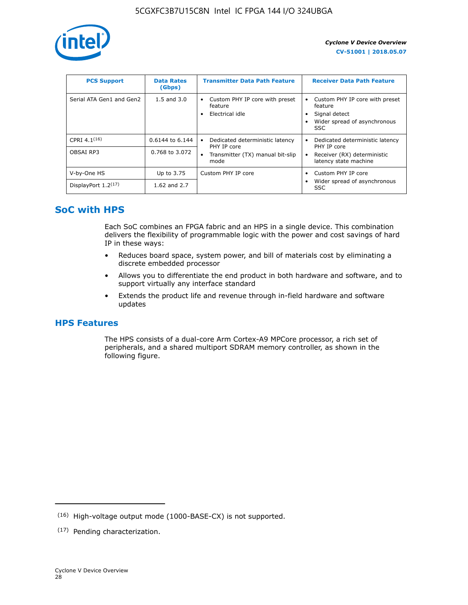

| <b>PCS Support</b>       | <b>Data Rates</b><br>(Gbps) | <b>Transmitter Data Path Feature</b>                         | <b>Receiver Data Path Feature</b>                                                                        |
|--------------------------|-----------------------------|--------------------------------------------------------------|----------------------------------------------------------------------------------------------------------|
| Serial ATA Gen1 and Gen2 | $1.5$ and $3.0$             | Custom PHY IP core with preset<br>feature<br>Electrical idle | Custom PHY IP core with preset<br>feature<br>Signal detect<br>Wider spread of asynchronous<br><b>SSC</b> |
| CPRI 4.1 $(16)$          | $0.6144$ to 6.144           | Dedicated deterministic latency<br>٠<br>PHY IP core          | Dedicated deterministic latency<br>PHY IP core                                                           |
| OBSAI RP3                | 0.768 to 3.072              | Transmitter (TX) manual bit-slip<br>٠<br>mode                | Receiver (RX) deterministic<br>latency state machine                                                     |
| V-by-One HS              | Up to 3.75                  | Custom PHY IP core                                           | Custom PHY IP core                                                                                       |
| DisplayPort $1.2^{(17)}$ | 1.62 and $2.7$              |                                                              | Wider spread of asynchronous<br><b>SSC</b>                                                               |

### **SoC with HPS**

Each SoC combines an FPGA fabric and an HPS in a single device. This combination delivers the flexibility of programmable logic with the power and cost savings of hard IP in these ways:

- Reduces board space, system power, and bill of materials cost by eliminating a discrete embedded processor
- Allows you to differentiate the end product in both hardware and software, and to support virtually any interface standard
- Extends the product life and revenue through in-field hardware and software updates

### **HPS Features**

The HPS consists of a dual-core Arm Cortex-A9 MPCore processor, a rich set of peripherals, and a shared multiport SDRAM memory controller, as shown in the following figure.

<sup>(16)</sup> High-voltage output mode (1000-BASE-CX) is not supported.

<sup>(17)</sup> Pending characterization.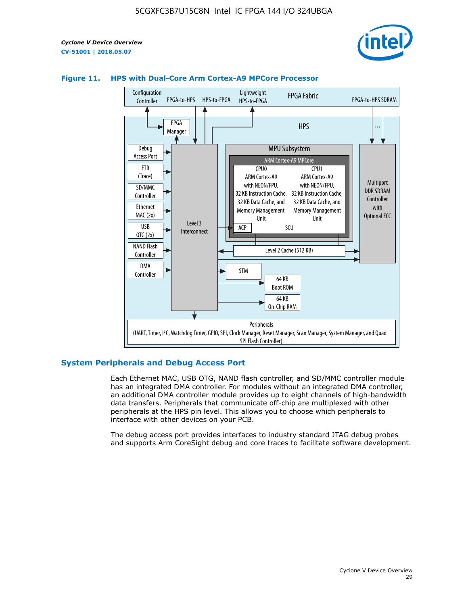



### **Figure 11. HPS with Dual-Core Arm Cortex-A9 MPCore Processor**

### **System Peripherals and Debug Access Port**

Each Ethernet MAC, USB OTG, NAND flash controller, and SD/MMC controller module has an integrated DMA controller. For modules without an integrated DMA controller, an additional DMA controller module provides up to eight channels of high-bandwidth data transfers. Peripherals that communicate off-chip are multiplexed with other peripherals at the HPS pin level. This allows you to choose which peripherals to interface with other devices on your PCB.

The debug access port provides interfaces to industry standard JTAG debug probes and supports Arm CoreSight debug and core traces to facilitate software development.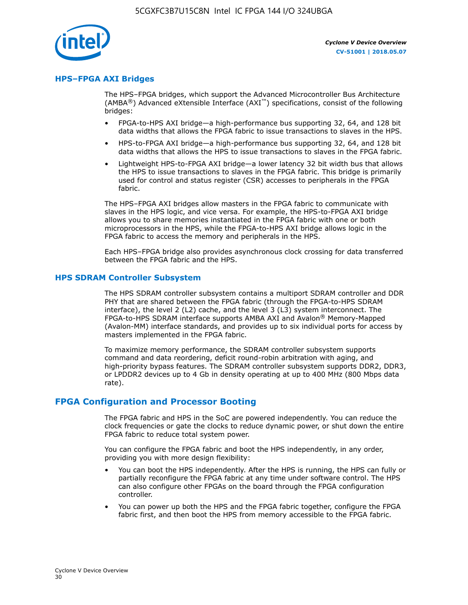

### **HPS–FPGA AXI Bridges**

The HPS–FPGA bridges, which support the Advanced Microcontroller Bus Architecture (AMBA<sup>®</sup>) Advanced eXtensible Interface (AXI<sup>™</sup>) specifications, consist of the following bridges:

- FPGA-to-HPS AXI bridge—a high-performance bus supporting 32, 64, and 128 bit data widths that allows the FPGA fabric to issue transactions to slaves in the HPS.
- HPS-to-FPGA AXI bridge—a high-performance bus supporting 32, 64, and 128 bit data widths that allows the HPS to issue transactions to slaves in the FPGA fabric.
- Lightweight HPS-to-FPGA AXI bridge—a lower latency 32 bit width bus that allows the HPS to issue transactions to slaves in the FPGA fabric. This bridge is primarily used for control and status register (CSR) accesses to peripherals in the FPGA fabric.

The HPS–FPGA AXI bridges allow masters in the FPGA fabric to communicate with slaves in the HPS logic, and vice versa. For example, the HPS-to-FPGA AXI bridge allows you to share memories instantiated in the FPGA fabric with one or both microprocessors in the HPS, while the FPGA-to-HPS AXI bridge allows logic in the FPGA fabric to access the memory and peripherals in the HPS.

Each HPS–FPGA bridge also provides asynchronous clock crossing for data transferred between the FPGA fabric and the HPS.

#### **HPS SDRAM Controller Subsystem**

The HPS SDRAM controller subsystem contains a multiport SDRAM controller and DDR PHY that are shared between the FPGA fabric (through the FPGA-to-HPS SDRAM interface), the level 2 (L2) cache, and the level 3 (L3) system interconnect. The FPGA-to-HPS SDRAM interface supports AMBA AXI and Avalon® Memory-Mapped (Avalon-MM) interface standards, and provides up to six individual ports for access by masters implemented in the FPGA fabric.

To maximize memory performance, the SDRAM controller subsystem supports command and data reordering, deficit round-robin arbitration with aging, and high-priority bypass features. The SDRAM controller subsystem supports DDR2, DDR3, or LPDDR2 devices up to 4 Gb in density operating at up to 400 MHz (800 Mbps data rate).

### **FPGA Configuration and Processor Booting**

The FPGA fabric and HPS in the SoC are powered independently. You can reduce the clock frequencies or gate the clocks to reduce dynamic power, or shut down the entire FPGA fabric to reduce total system power.

You can configure the FPGA fabric and boot the HPS independently, in any order, providing you with more design flexibility:

- You can boot the HPS independently. After the HPS is running, the HPS can fully or partially reconfigure the FPGA fabric at any time under software control. The HPS can also configure other FPGAs on the board through the FPGA configuration controller.
- You can power up both the HPS and the FPGA fabric together, configure the FPGA fabric first, and then boot the HPS from memory accessible to the FPGA fabric.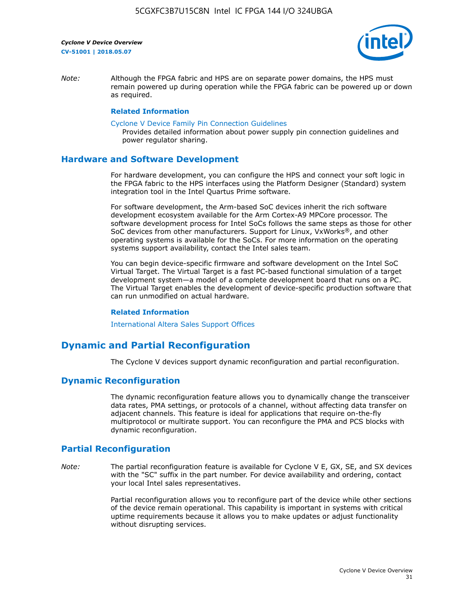

*Note:* Although the FPGA fabric and HPS are on separate power domains, the HPS must remain powered up during operation while the FPGA fabric can be powered up or down as required.

### **Related Information**

[Cyclone V Device Family Pin Connection Guidelines](https://www.altera.com/content/dam/altera-www/global/en_US/pdfs/literature/dp/cyclone-v/pcg-01014.pdf)

Provides detailed information about power supply pin connection guidelines and power regulator sharing.

### **Hardware and Software Development**

For hardware development, you can configure the HPS and connect your soft logic in the FPGA fabric to the HPS interfaces using the Platform Designer (Standard) system integration tool in the Intel Quartus Prime software.

For software development, the Arm-based SoC devices inherit the rich software development ecosystem available for the Arm Cortex-A9 MPCore processor. The software development process for Intel SoCs follows the same steps as those for other SoC devices from other manufacturers. Support for Linux, VxWorks®, and other operating systems is available for the SoCs. For more information on the operating systems support availability, contact the Intel sales team.

You can begin device-specific firmware and software development on the Intel SoC Virtual Target. The Virtual Target is a fast PC-based functional simulation of a target development system—a model of a complete development board that runs on a PC. The Virtual Target enables the development of device-specific production software that can run unmodified on actual hardware.

#### **Related Information**

[International Altera Sales Support Offices](https://www.altera.com/about/contact/contact/international-altera-sales-offices.html)

### **Dynamic and Partial Reconfiguration**

The Cyclone V devices support dynamic reconfiguration and partial reconfiguration.

### **Dynamic Reconfiguration**

The dynamic reconfiguration feature allows you to dynamically change the transceiver data rates, PMA settings, or protocols of a channel, without affecting data transfer on adjacent channels. This feature is ideal for applications that require on-the-fly multiprotocol or multirate support. You can reconfigure the PMA and PCS blocks with dynamic reconfiguration.

### **Partial Reconfiguration**

*Note:* The partial reconfiguration feature is available for Cyclone V E, GX, SE, and SX devices with the "SC" suffix in the part number. For device availability and ordering, contact your local Intel sales representatives.

> Partial reconfiguration allows you to reconfigure part of the device while other sections of the device remain operational. This capability is important in systems with critical uptime requirements because it allows you to make updates or adjust functionality without disrupting services.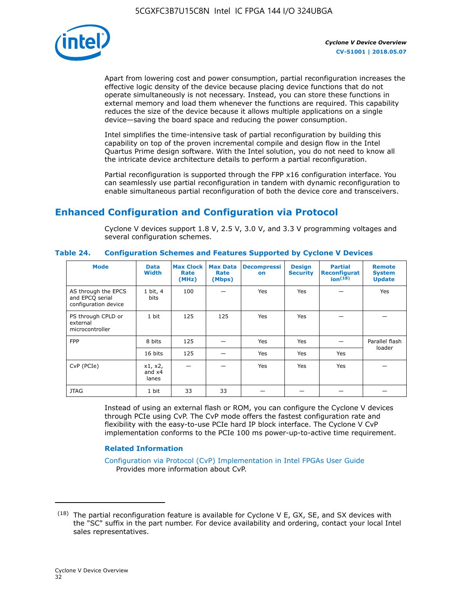

Apart from lowering cost and power consumption, partial reconfiguration increases the effective logic density of the device because placing device functions that do not operate simultaneously is not necessary. Instead, you can store these functions in external memory and load them whenever the functions are required. This capability reduces the size of the device because it allows multiple applications on a single device—saving the board space and reducing the power consumption.

Intel simplifies the time-intensive task of partial reconfiguration by building this capability on top of the proven incremental compile and design flow in the Intel Quartus Prime design software. With the Intel solution, you do not need to know all the intricate device architecture details to perform a partial reconfiguration.

Partial reconfiguration is supported through the FPP x16 configuration interface. You can seamlessly use partial reconfiguration in tandem with dynamic reconfiguration to enable simultaneous partial reconfiguration of both the device core and transceivers.

## **Enhanced Configuration and Configuration via Protocol**

Cyclone V devices support 1.8 V, 2.5 V, 3.0 V, and 3.3 V programming voltages and several configuration schemes.

| <b>Mode</b>                                                    | <b>Data</b><br>Width         | Max Clock  <br>Rate<br>(MHz) | <b>Max Data</b><br>Rate<br>(Mbps) | <b>Decompressi</b><br>on | <b>Design</b><br><b>Security</b> | <b>Partial</b><br>Reconfigurat<br>ion <sup>(18)</sup> | <b>Remote</b><br><b>System</b><br><b>Update</b> |
|----------------------------------------------------------------|------------------------------|------------------------------|-----------------------------------|--------------------------|----------------------------------|-------------------------------------------------------|-------------------------------------------------|
| AS through the EPCS<br>and EPCQ serial<br>configuration device | 1 bit, 4<br>bits             | 100                          |                                   | Yes                      | Yes                              |                                                       | Yes                                             |
| PS through CPLD or<br>external<br>microcontroller              | 1 bit                        | 125                          | 125                               | Yes                      | Yes                              |                                                       |                                                 |
| <b>FPP</b>                                                     | 8 bits                       | 125                          |                                   | Yes                      | <b>Yes</b>                       |                                                       | Parallel flash                                  |
|                                                                | 16 bits                      | 125                          |                                   | Yes                      | <b>Yes</b>                       | Yes                                                   | loader                                          |
| CvP (PCIe)                                                     | x1, x2,<br>and $x4$<br>lanes |                              |                                   | Yes                      | <b>Yes</b>                       | Yes                                                   |                                                 |
| <b>JTAG</b>                                                    | 1 bit                        | 33                           | 33                                |                          |                                  |                                                       |                                                 |

**Table 24. Configuration Schemes and Features Supported by Cyclone V Devices**

Instead of using an external flash or ROM, you can configure the Cyclone V devices through PCIe using CvP. The CvP mode offers the fastest configuration rate and flexibility with the easy-to-use PCIe hard IP block interface. The Cyclone V CvP implementation conforms to the PCIe 100 ms power-up-to-active time requirement.

### **Related Information**

[Configuration via Protocol \(CvP\) Implementation in Intel FPGAs User Guide](https://www.altera.com/documentation/nik1412546950394.html#nik1412546833714) Provides more information about CvP.

 $(18)$  The partial reconfiguration feature is available for Cyclone V E, GX, SE, and SX devices with the "SC" suffix in the part number. For device availability and ordering, contact your local Intel sales representatives.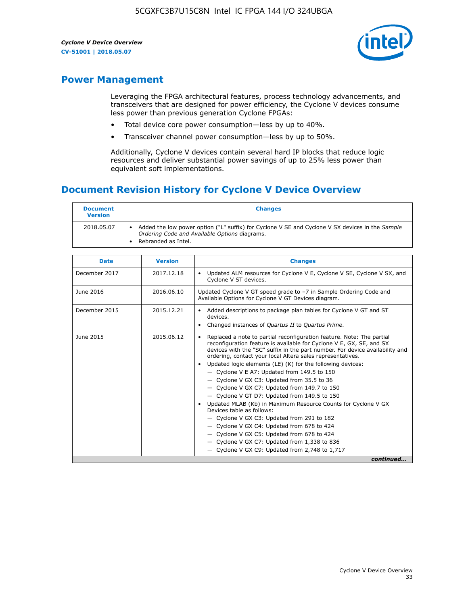

### **Power Management**

Leveraging the FPGA architectural features, process technology advancements, and transceivers that are designed for power efficiency, the Cyclone V devices consume less power than previous generation Cyclone FPGAs:

- Total device core power consumption—less by up to 40%.
- Transceiver channel power consumption—less by up to 50%.

Additionally, Cyclone V devices contain several hard IP blocks that reduce logic resources and deliver substantial power savings of up to 25% less power than equivalent soft implementations.

### **Document Revision History for Cyclone V Device Overview**

| <b>Document</b><br><b>Version</b> | <b>Changes</b>                                                                                                                                                          |
|-----------------------------------|-------------------------------------------------------------------------------------------------------------------------------------------------------------------------|
| 2018.05.07                        | Added the low power option ("L" suffix) for Cyclone V SE and Cyclone V SX devices in the Sample<br>Ordering Code and Available Options diagrams.<br>Rebranded as Intel. |

| <b>Date</b>   | <b>Version</b> | <b>Changes</b>                                                                                                                                                                                                                                                                                                                                                                                                                                                                                                                                                                                                                                                                                                                                                                                                                                                                                                  |
|---------------|----------------|-----------------------------------------------------------------------------------------------------------------------------------------------------------------------------------------------------------------------------------------------------------------------------------------------------------------------------------------------------------------------------------------------------------------------------------------------------------------------------------------------------------------------------------------------------------------------------------------------------------------------------------------------------------------------------------------------------------------------------------------------------------------------------------------------------------------------------------------------------------------------------------------------------------------|
| December 2017 | 2017.12.18     | Updated ALM resources for Cyclone V E, Cyclone V SE, Cyclone V SX, and<br>Cyclone V ST devices.                                                                                                                                                                                                                                                                                                                                                                                                                                                                                                                                                                                                                                                                                                                                                                                                                 |
| June 2016     | 2016.06.10     | Updated Cyclone V GT speed grade to -7 in Sample Ordering Code and<br>Available Options for Cyclone V GT Devices diagram.                                                                                                                                                                                                                                                                                                                                                                                                                                                                                                                                                                                                                                                                                                                                                                                       |
| December 2015 | 2015.12.21     | Added descriptions to package plan tables for Cyclone V GT and ST<br>devices.<br>Changed instances of Quartus II to Quartus Prime.                                                                                                                                                                                                                                                                                                                                                                                                                                                                                                                                                                                                                                                                                                                                                                              |
| June 2015     | 2015.06.12     | Replaced a note to partial reconfiguration feature. Note: The partial<br>reconfiguration feature is available for Cyclone V E, GX, SE, and SX<br>devices with the "SC" suffix in the part number. For device availability and<br>ordering, contact your local Altera sales representatives.<br>Updated logic elements (LE) (K) for the following devices:<br>$\bullet$<br>- Cyclone V E A7: Updated from 149.5 to 150<br>- Cyclone V GX C3: Updated from 35.5 to 36<br>- Cyclone V GX C7: Updated from 149.7 to 150<br>- Cyclone V GT D7: Updated from 149.5 to 150<br>Updated MLAB (Kb) in Maximum Resource Counts for Cyclone V GX<br>Devices table as follows:<br>- Cyclone V GX C3: Updated from 291 to 182<br>- Cyclone V GX C4: Updated from 678 to 424<br>- Cyclone V GX C5: Updated from 678 to 424<br>- Cyclone V GX C7: Updated from 1,338 to 836<br>$-$ Cyclone V GX C9: Updated from 2,748 to 1,717 |
|               |                | continued                                                                                                                                                                                                                                                                                                                                                                                                                                                                                                                                                                                                                                                                                                                                                                                                                                                                                                       |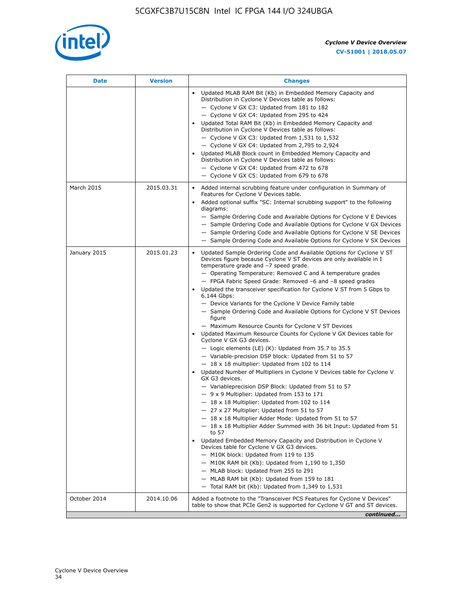

| <b>Date</b>  | <b>Version</b> | <b>Changes</b>                                                                                                                                                                                                                                                                                                                                                                                                                                                                                                                                                                                                                                                                                                                                                                                                                                                                                                                                                                                                                                                                                                                                                                                                                                                                                                                                                                                                                                                                                                                                                                                                                                                                                                  |
|--------------|----------------|-----------------------------------------------------------------------------------------------------------------------------------------------------------------------------------------------------------------------------------------------------------------------------------------------------------------------------------------------------------------------------------------------------------------------------------------------------------------------------------------------------------------------------------------------------------------------------------------------------------------------------------------------------------------------------------------------------------------------------------------------------------------------------------------------------------------------------------------------------------------------------------------------------------------------------------------------------------------------------------------------------------------------------------------------------------------------------------------------------------------------------------------------------------------------------------------------------------------------------------------------------------------------------------------------------------------------------------------------------------------------------------------------------------------------------------------------------------------------------------------------------------------------------------------------------------------------------------------------------------------------------------------------------------------------------------------------------------------|
|              |                | Updated MLAB RAM Bit (Kb) in Embedded Memory Capacity and<br>Distribution in Cyclone V Devices table as follows:<br>- Cyclone V GX C3: Updated from 181 to 182<br>- Cyclone V GX C4: Updated from 295 to 424<br>Updated Total RAM Bit (Kb) in Embedded Memory Capacity and<br>Distribution in Cyclone V Devices table as follows:<br>- Cyclone V GX C3: Updated from $1,531$ to $1,532$<br>- Cyclone V GX C4: Updated from 2,795 to 2,924<br>Updated MLAB Block count in Embedded Memory Capacity and<br>Distribution in Cyclone V Devices table as follows:<br>- Cyclone V GX C4: Updated from 472 to 678<br>- Cyclone V GX C5: Updated from 679 to 678                                                                                                                                                                                                                                                                                                                                                                                                                                                                                                                                                                                                                                                                                                                                                                                                                                                                                                                                                                                                                                                        |
| March 2015   | 2015.03.31     | Added internal scrubbing feature under configuration in Summary of<br>$\bullet$<br>Features for Cyclone V Devices table.<br>Added optional suffix "SC: Internal scrubbing support" to the following<br>diagrams:<br>- Sample Ordering Code and Available Options for Cyclone V E Devices<br>- Sample Ordering Code and Available Options for Cyclone V GX Devices<br>- Sample Ordering Code and Available Options for Cyclone V SE Devices<br>- Sample Ordering Code and Available Options for Cyclone V SX Devices                                                                                                                                                                                                                                                                                                                                                                                                                                                                                                                                                                                                                                                                                                                                                                                                                                                                                                                                                                                                                                                                                                                                                                                             |
| January 2015 | 2015.01.23     | Updated Sample Ordering Code and Available Options for Cyclone V ST<br>Devices figure because Cyclone V ST devices are only available in I<br>temperature grade and -7 speed grade.<br>- Operating Temperature: Removed C and A temperature grades<br>- FPGA Fabric Speed Grade: Removed -6 and -8 speed grades<br>Updated the transceiver specification for Cyclone V ST from 5 Gbps to<br>6.144 Gbps:<br>- Device Variants for the Cyclone V Device Family table<br>- Sample Ordering Code and Available Options for Cyclone V ST Devices<br>figure<br>- Maximum Resource Counts for Cyclone V ST Devices<br>Updated Maximum Resource Counts for Cyclone V GX Devices table for<br>Cyclone V GX G3 devices.<br>$-$ Logic elements (LE) (K): Updated from 35.7 to 35.5<br>- Variable-precision DSP block: Updated from 51 to 57<br>$-18 \times 18$ multiplier: Updated from 102 to 114<br>Updated Number of Multipliers in Cyclone V Devices table for Cyclone V<br>GX G3 devices.<br>- Variableprecision DSP Block: Updated from 51 to 57<br>$-9x9$ Multiplier: Updated from 153 to 171<br>$-18 \times 18$ Multiplier: Updated from 102 to 114<br>- 27 x 27 Multiplier: Updated from 51 to 57<br>- 18 x 18 Multiplier Adder Mode: Updated from 51 to 57<br>$-18 \times 18$ Multiplier Adder Summed with 36 bit Input: Updated from 51<br>to 57<br>Updated Embedded Memory Capacity and Distribution in Cyclone V<br>Devices table for Cyclone V GX G3 devices.<br>- M10K block: Updated from 119 to 135<br>$-$ M10K RAM bit (Kb): Updated from 1,190 to 1,350<br>- MLAB block: Updated from 255 to 291<br>- MLAB RAM bit (Kb): Updated from 159 to 181<br>$-$ Total RAM bit (Kb): Updated from 1,349 to 1,531 |
| October 2014 | 2014.10.06     | Added a footnote to the "Transceiver PCS Features for Cyclone V Devices"<br>table to show that PCIe Gen2 is supported for Cyclone V GT and ST devices.                                                                                                                                                                                                                                                                                                                                                                                                                                                                                                                                                                                                                                                                                                                                                                                                                                                                                                                                                                                                                                                                                                                                                                                                                                                                                                                                                                                                                                                                                                                                                          |
|              |                | continued                                                                                                                                                                                                                                                                                                                                                                                                                                                                                                                                                                                                                                                                                                                                                                                                                                                                                                                                                                                                                                                                                                                                                                                                                                                                                                                                                                                                                                                                                                                                                                                                                                                                                                       |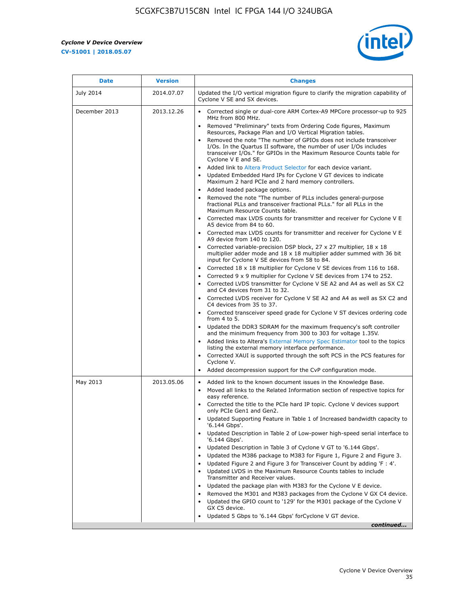r



| <b>Date</b>      | <b>Version</b> | <b>Changes</b>                                                                                                                                                                                                                                                                                                                                                                                                                                                                                                                                                                                                                                                                                                                                                                                                                                                                                                                                                                                                                                                                                                                                                                                          |
|------------------|----------------|---------------------------------------------------------------------------------------------------------------------------------------------------------------------------------------------------------------------------------------------------------------------------------------------------------------------------------------------------------------------------------------------------------------------------------------------------------------------------------------------------------------------------------------------------------------------------------------------------------------------------------------------------------------------------------------------------------------------------------------------------------------------------------------------------------------------------------------------------------------------------------------------------------------------------------------------------------------------------------------------------------------------------------------------------------------------------------------------------------------------------------------------------------------------------------------------------------|
| <b>July 2014</b> | 2014.07.07     | Updated the I/O vertical migration figure to clarify the migration capability of<br>Cyclone V SE and SX devices.                                                                                                                                                                                                                                                                                                                                                                                                                                                                                                                                                                                                                                                                                                                                                                                                                                                                                                                                                                                                                                                                                        |
| December 2013    | 2013.12.26     | • Corrected single or dual-core ARM Cortex-A9 MPCore processor-up to 925<br>MHz from 800 MHz.<br>Removed "Preliminary" texts from Ordering Code figures, Maximum<br>$\bullet$<br>Resources, Package Plan and I/O Vertical Migration tables.<br>Removed the note "The number of GPIOs does not include transceiver<br>I/Os. In the Quartus II software, the number of user I/Os includes<br>transceiver I/Os." for GPIOs in the Maximum Resource Counts table for<br>Cyclone V E and SE.<br>Added link to Altera Product Selector for each device variant.<br>• Updated Embedded Hard IPs for Cyclone V GT devices to indicate<br>Maximum 2 hard PCIe and 2 hard memory controllers.<br>• Added leaded package options.<br>Removed the note "The number of PLLs includes general-purpose<br>fractional PLLs and transceiver fractional PLLs." for all PLLs in the<br>Maximum Resource Counts table.<br>• Corrected max LVDS counts for transmitter and receiver for Cyclone V E<br>A5 device from 84 to 60.<br>• Corrected max LVDS counts for transmitter and receiver for Cyclone V E                                                                                                                  |
|                  |                | A9 device from 140 to 120.<br>Corrected variable-precision DSP block, 27 x 27 multiplier, 18 x 18<br>multiplier adder mode and $18 \times 18$ multiplier adder summed with 36 bit<br>input for Cyclone V SE devices from 58 to 84.<br>Corrected 18 x 18 multiplier for Cyclone V SE devices from 116 to 168.<br>Corrected 9 x 9 multiplier for Cyclone V SE devices from 174 to 252.<br>Corrected LVDS transmitter for Cyclone V SE A2 and A4 as well as SX C2<br>and C4 devices from 31 to 32.<br>• Corrected LVDS receiver for Cyclone V SE A2 and A4 as well as SX C2 and<br>C4 devices from 35 to 37.<br>• Corrected transceiver speed grade for Cyclone V ST devices ordering code<br>from $4$ to $5$ .<br>• Updated the DDR3 SDRAM for the maximum frequency's soft controller<br>and the minimum frequency from 300 to 303 for voltage 1.35V.<br>• Added links to Altera's External Memory Spec Estimator tool to the topics<br>listing the external memory interface performance.<br>• Corrected XAUI is supported through the soft PCS in the PCS features for<br>Cyclone V.<br>Added decompression support for the CvP configuration mode.                                                    |
| May 2013         | 2013.05.06     | Added link to the known document issues in the Knowledge Base.<br>$\bullet$<br>Moved all links to the Related Information section of respective topics for<br>$\bullet$<br>easy reference.<br>• Corrected the title to the PCIe hard IP topic. Cyclone V devices support<br>only PCIe Gen1 and Gen2.<br>Updated Supporting Feature in Table 1 of Increased bandwidth capacity to<br>$\bullet$<br>'6.144 Gbps'.<br>Updated Description in Table 2 of Low-power high-speed serial interface to<br>'6.144 Gbps'.<br>Updated Description in Table 3 of Cyclone V GT to '6.144 Gbps'.<br>Updated the M386 package to M383 for Figure 1, Figure 2 and Figure 3.<br>$\bullet$<br>Updated Figure 2 and Figure 3 for Transceiver Count by adding 'F : 4'.<br>$\bullet$<br>Updated LVDS in the Maximum Resource Counts tables to include<br>Transmitter and Receiver values.<br>Updated the package plan with M383 for the Cyclone V E device.<br>$\bullet$<br>Removed the M301 and M383 packages from the Cyclone V GX C4 device.<br>Updated the GPIO count to '129' for the M301 package of the Cyclone V<br>$\bullet$<br>GX C5 device.<br>Updated 5 Gbps to '6.144 Gbps' for Cyclone V GT device.<br>continued |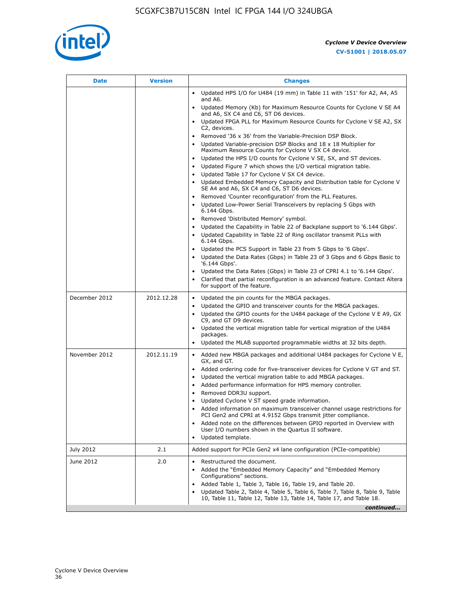

| Date          | <b>Version</b> | <b>Changes</b>                                                                                                                                                                                                                                                                                                                                                                                                                                                                                                                                                                                                                                                                                                                                                                                                                                                                                                                                |
|---------------|----------------|-----------------------------------------------------------------------------------------------------------------------------------------------------------------------------------------------------------------------------------------------------------------------------------------------------------------------------------------------------------------------------------------------------------------------------------------------------------------------------------------------------------------------------------------------------------------------------------------------------------------------------------------------------------------------------------------------------------------------------------------------------------------------------------------------------------------------------------------------------------------------------------------------------------------------------------------------|
|               |                | Updated HPS I/O for U484 (19 mm) in Table 11 with '151' for A2, A4, A5<br>$\bullet$<br>and A6.                                                                                                                                                                                                                                                                                                                                                                                                                                                                                                                                                                                                                                                                                                                                                                                                                                                |
|               |                | Updated Memory (Kb) for Maximum Resource Counts for Cyclone V SE A4<br>and A6, SX C4 and C6, ST D6 devices.                                                                                                                                                                                                                                                                                                                                                                                                                                                                                                                                                                                                                                                                                                                                                                                                                                   |
|               |                | Updated FPGA PLL for Maximum Resource Counts for Cyclone V SE A2, SX<br>C2, devices.                                                                                                                                                                                                                                                                                                                                                                                                                                                                                                                                                                                                                                                                                                                                                                                                                                                          |
|               |                | Removed '36 x 36' from the Variable-Precision DSP Block.<br>Updated Variable-precision DSP Blocks and 18 x 18 Multiplier for<br>Maximum Resource Counts for Cyclone V SX C4 device.<br>Updated the HPS I/O counts for Cyclone V SE, SX, and ST devices.<br>Updated Figure 7 which shows the I/O vertical migration table.<br>Updated Table 17 for Cyclone V SX C4 device.<br>$\bullet$<br>• Updated Embedded Memory Capacity and Distribution table for Cyclone V<br>SE A4 and A6, SX C4 and C6, ST D6 devices.<br>• Removed 'Counter reconfiguration' from the PLL Features.<br>Updated Low-Power Serial Transceivers by replacing 5 Gbps with<br>6.144 Gbps.<br>• Removed 'Distributed Memory' symbol.<br>Updated the Capability in Table 22 of Backplane support to '6.144 Gbps'.<br>• Updated Capability in Table 22 of Ring oscillator transmit PLLs with<br>6.144 Gbps.<br>Updated the PCS Support in Table 23 from 5 Gbps to '6 Gbps'. |
|               |                | Updated the Data Rates (Gbps) in Table 23 of 3 Gbps and 6 Gbps Basic to<br>'6.144 Gbps'.                                                                                                                                                                                                                                                                                                                                                                                                                                                                                                                                                                                                                                                                                                                                                                                                                                                      |
|               |                | Updated the Data Rates (Gbps) in Table 23 of CPRI 4.1 to '6.144 Gbps'.<br>Clarified that partial reconfiguration is an advanced feature. Contact Altera<br>for support of the feature.                                                                                                                                                                                                                                                                                                                                                                                                                                                                                                                                                                                                                                                                                                                                                        |
| December 2012 | 2012.12.28     | Updated the pin counts for the MBGA packages.<br>$\bullet$<br>Updated the GPIO and transceiver counts for the MBGA packages.<br>Updated the GPIO counts for the U484 package of the Cyclone V E A9, GX<br>C9, and GT D9 devices.<br>• Updated the vertical migration table for vertical migration of the U484<br>packages.<br>Updated the MLAB supported programmable widths at 32 bits depth.                                                                                                                                                                                                                                                                                                                                                                                                                                                                                                                                                |
| November 2012 | 2012.11.19     | • Added new MBGA packages and additional U484 packages for Cyclone V E,<br>GX, and GT.<br>• Added ordering code for five-transceiver devices for Cyclone V GT and ST.<br>Updated the vertical migration table to add MBGA packages.<br>٠<br>Added performance information for HPS memory controller.<br>$\bullet$<br>Removed DDR3U support.<br>$\bullet$<br>Updated Cyclone V ST speed grade information.<br>Added information on maximum transceiver channel usage restrictions for<br>PCI Gen2 and CPRI at 4.9152 Gbps transmit jitter compliance.<br>Added note on the differences between GPIO reported in Overview with<br>User I/O numbers shown in the Quartus II software.<br>Updated template.                                                                                                                                                                                                                                       |
| July 2012     | 2.1            | Added support for PCIe Gen2 x4 lane configuration (PCIe-compatible)                                                                                                                                                                                                                                                                                                                                                                                                                                                                                                                                                                                                                                                                                                                                                                                                                                                                           |
| June 2012     | 2.0            | Restructured the document.<br>٠<br>Added the "Embedded Memory Capacity" and "Embedded Memory<br>Configurations" sections.<br>Added Table 1, Table 3, Table 16, Table 19, and Table 20.<br>$\bullet$<br>Updated Table 2, Table 4, Table 5, Table 6, Table 7, Table 8, Table 9, Table<br>10, Table 11, Table 12, Table 13, Table 14, Table 17, and Table 18.                                                                                                                                                                                                                                                                                                                                                                                                                                                                                                                                                                                    |
|               |                | continued                                                                                                                                                                                                                                                                                                                                                                                                                                                                                                                                                                                                                                                                                                                                                                                                                                                                                                                                     |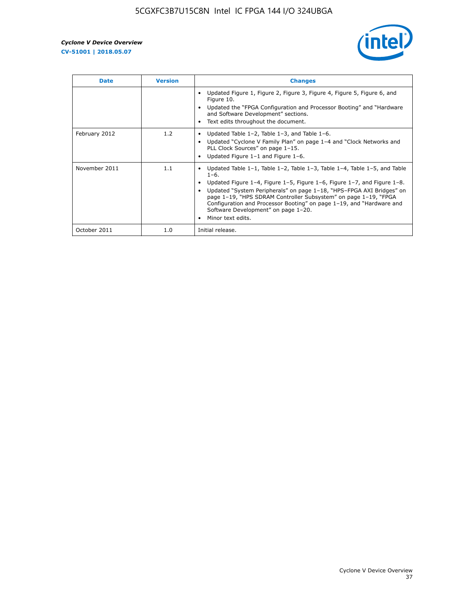

| <b>Date</b>   | <b>Version</b> | <b>Changes</b>                                                                                                                                                                                                                                                                                                                                                                                                                                                              |
|---------------|----------------|-----------------------------------------------------------------------------------------------------------------------------------------------------------------------------------------------------------------------------------------------------------------------------------------------------------------------------------------------------------------------------------------------------------------------------------------------------------------------------|
|               |                | Updated Figure 1, Figure 2, Figure 3, Figure 4, Figure 5, Figure 6, and<br>Figure 10.<br>Updated the "FPGA Configuration and Processor Booting" and "Hardware"<br>and Software Development" sections.<br>Text edits throughout the document.                                                                                                                                                                                                                                |
| February 2012 | 1.2            | Updated Table $1-2$ , Table $1-3$ , and Table $1-6$ .<br>Updated "Cyclone V Family Plan" on page 1-4 and "Clock Networks and<br>PLL Clock Sources" on page 1-15.<br>Updated Figure 1-1 and Figure 1-6.                                                                                                                                                                                                                                                                      |
| November 2011 | 1.1            | Updated Table $1-1$ , Table $1-2$ , Table $1-3$ , Table $1-4$ , Table $1-5$ , and Table<br>$1 - 6$ .<br>Updated Figure 1-4, Figure 1-5, Figure 1-6, Figure 1-7, and Figure 1-8.<br>Updated "System Peripherals" on page 1-18, "HPS-FPGA AXI Bridges" on<br>page 1-19, "HPS SDRAM Controller Subsystem" on page 1-19, "FPGA<br>Configuration and Processor Booting" on page 1-19, and "Hardware and<br>Software Development" on page 1-20.<br>Minor text edits.<br>$\bullet$ |
| October 2011  | 1.0            | Initial release.                                                                                                                                                                                                                                                                                                                                                                                                                                                            |